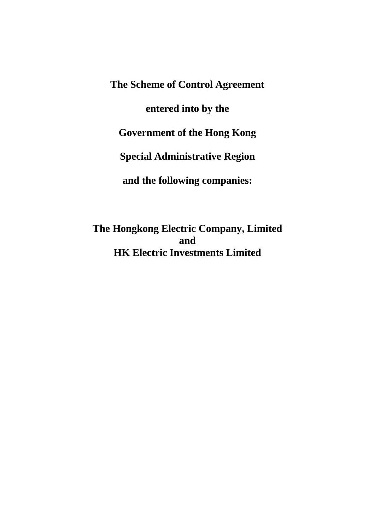**The Scheme of Control Agreement entered into by the Government of the Hong Kong Special Administrative Region and the following companies:**

**The Hongkong Electric Company, Limited and HK Electric Investments Limited**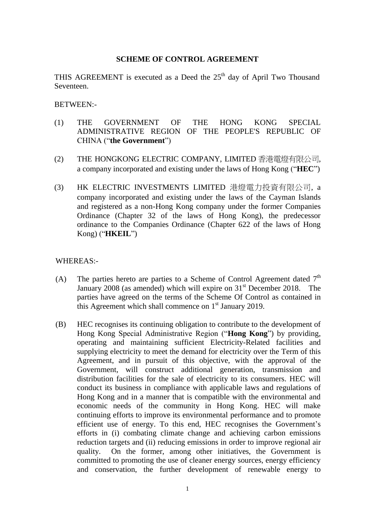#### **SCHEME OF CONTROL AGREEMENT**

THIS AGREEMENT is executed as a Deed the  $25<sup>th</sup>$  day of April Two Thousand Seventeen.

BETWEEN:-

- (1) THE GOVERNMENT OF THE HONG KONG SPECIAL ADMINISTRATIVE REGION OF THE PEOPLE'S REPUBLIC OF CHINA ("**the Government**")
- (2) THE HONGKONG ELECTRIC COMPANY, LIMITED 香港電燈有限公司, a company incorporated and existing under the laws of Hong Kong ("**HEC**")
- (3) HK ELECTRIC INVESTMENTS LIMITED 港燈電力投資有限公司, a company incorporated and existing under the laws of the Cayman Islands and registered as a non-Hong Kong company under the former Companies Ordinance (Chapter 32 of the laws of Hong Kong), the predecessor ordinance to the Companies Ordinance (Chapter 622 of the laws of Hong Kong) ("**HKEIL**")

#### WHEREAS:-

- (A) The parties hereto are parties to a Scheme of Control Agreement dated  $7<sup>th</sup>$ January 2008 (as amended) which will expire on  $31<sup>st</sup>$  December 2018. The parties have agreed on the terms of the Scheme Of Control as contained in this Agreement which shall commence on  $1<sup>st</sup>$  January 2019.
- (B) HEC recognises its continuing obligation to contribute to the development of Hong Kong Special Administrative Region ("**Hong Kong**") by providing, operating and maintaining sufficient Electricity-Related facilities and supplying electricity to meet the demand for electricity over the Term of this Agreement, and in pursuit of this objective, with the approval of the Government, will construct additional generation, transmission and distribution facilities for the sale of electricity to its consumers. HEC will conduct its business in compliance with applicable laws and regulations of Hong Kong and in a manner that is compatible with the environmental and economic needs of the community in Hong Kong. HEC will make continuing efforts to improve its environmental performance and to promote efficient use of energy. To this end, HEC recognises the Government's efforts in (i) combating climate change and achieving carbon emissions reduction targets and (ii) reducing emissions in order to improve regional air quality. On the former, among other initiatives, the Government is committed to promoting the use of cleaner energy sources, energy efficiency and conservation, the further development of renewable energy to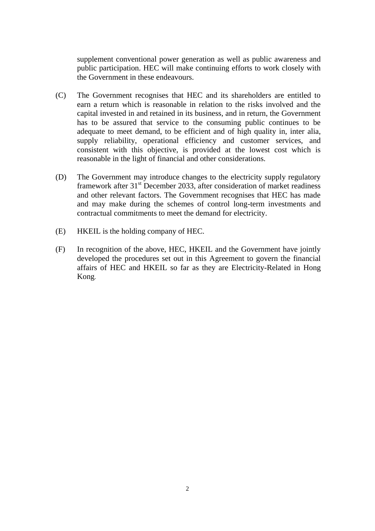supplement conventional power generation as well as public awareness and public participation. HEC will make continuing efforts to work closely with the Government in these endeavours.

- (C) The Government recognises that HEC and its shareholders are entitled to earn a return which is reasonable in relation to the risks involved and the capital invested in and retained in its business, and in return, the Government has to be assured that service to the consuming public continues to be adequate to meet demand, to be efficient and of high quality in, inter alia, supply reliability, operational efficiency and customer services, and consistent with this objective, is provided at the lowest cost which is reasonable in the light of financial and other considerations.
- (D) The Government may introduce changes to the electricity supply regulatory framework after  $31<sup>st</sup>$  December 2033, after consideration of market readiness and other relevant factors. The Government recognises that HEC has made and may make during the schemes of control long-term investments and contractual commitments to meet the demand for electricity.
- (E) HKEIL is the holding company of HEC.
- (F) In recognition of the above, HEC, HKEIL and the Government have jointly developed the procedures set out in this Agreement to govern the financial affairs of HEC and HKEIL so far as they are Electricity-Related in Hong Kong.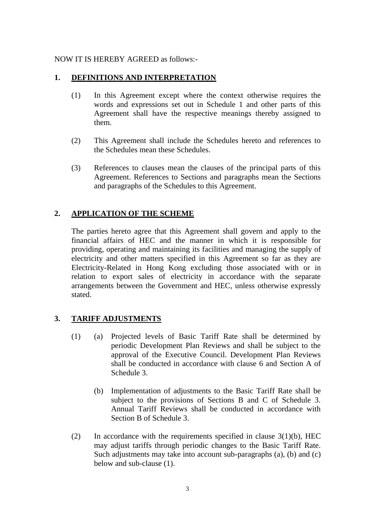#### NOW IT IS HEREBY AGREED as follows:-

#### **1. DEFINITIONS AND INTERPRETATION**

- (1) In this Agreement except where the context otherwise requires the words and expressions set out in Schedule 1 and other parts of this Agreement shall have the respective meanings thereby assigned to them.
- (2) This Agreement shall include the Schedules hereto and references to the Schedules mean these Schedules.
- (3) References to clauses mean the clauses of the principal parts of this Agreement. References to Sections and paragraphs mean the Sections and paragraphs of the Schedules to this Agreement.

## **2. APPLICATION OF THE SCHEME**

The parties hereto agree that this Agreement shall govern and apply to the financial affairs of HEC and the manner in which it is responsible for providing, operating and maintaining its facilities and managing the supply of electricity and other matters specified in this Agreement so far as they are Electricity-Related in Hong Kong excluding those associated with or in relation to export sales of electricity in accordance with the separate arrangements between the Government and HEC, unless otherwise expressly stated.

## **3. TARIFF ADJUSTMENTS**

- (1) (a) Projected levels of Basic Tariff Rate shall be determined by periodic Development Plan Reviews and shall be subject to the approval of the Executive Council. Development Plan Reviews shall be conducted in accordance with clause 6 and Section A of Schedule 3.
	- (b) Implementation of adjustments to the Basic Tariff Rate shall be subject to the provisions of Sections B and C of Schedule 3. Annual Tariff Reviews shall be conducted in accordance with Section B of Schedule 3.
- (2) In accordance with the requirements specified in clause  $3(1)(b)$ , HEC may adjust tariffs through periodic changes to the Basic Tariff Rate. Such adjustments may take into account sub-paragraphs (a), (b) and (c) below and sub-clause (1).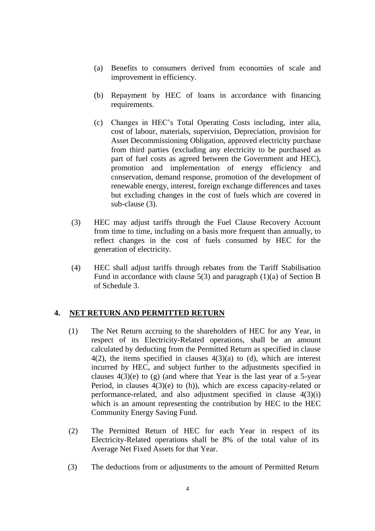- (a) Benefits to consumers derived from economies of scale and improvement in efficiency.
- (b) Repayment by HEC of loans in accordance with financing requirements.
- (c) Changes in HEC's Total Operating Costs including, inter alia, cost of labour, materials, supervision, Depreciation, provision for Asset Decommissioning Obligation, approved electricity purchase from third parties (excluding any electricity to be purchased as part of fuel costs as agreed between the Government and HEC), promotion and implementation of energy efficiency and conservation, demand response, promotion of the development of renewable energy, interest, foreign exchange differences and taxes but excluding changes in the cost of fuels which are covered in sub-clause (3).
- (3) HEC may adjust tariffs through the Fuel Clause Recovery Account from time to time, including on a basis more frequent than annually, to reflect changes in the cost of fuels consumed by HEC for the generation of electricity.
- (4) HEC shall adjust tariffs through rebates from the Tariff Stabilisation Fund in accordance with clause 5(3) and paragraph (1)(a) of Section B of Schedule 3.

## **4. NET RETURN AND PERMITTED RETURN**

- (1) The Net Return accruing to the shareholders of HEC for any Year, in respect of its Electricity-Related operations, shall be an amount calculated by deducting from the Permitted Return as specified in clause  $4(2)$ , the items specified in clauses  $4(3)(a)$  to (d), which are interest incurred by HEC, and subject further to the adjustments specified in clauses  $4(3)(e)$  to (g) (and where that Year is the last year of a 5-year Period, in clauses 4(3)(e) to (h)), which are excess capacity-related or performance-related, and also adjustment specified in clause 4(3)(i) which is an amount representing the contribution by HEC to the HEC Community Energy Saving Fund.
- (2) The Permitted Return of HEC for each Year in respect of its Electricity-Related operations shall be 8% of the total value of its Average Net Fixed Assets for that Year.
- (3) The deductions from or adjustments to the amount of Permitted Return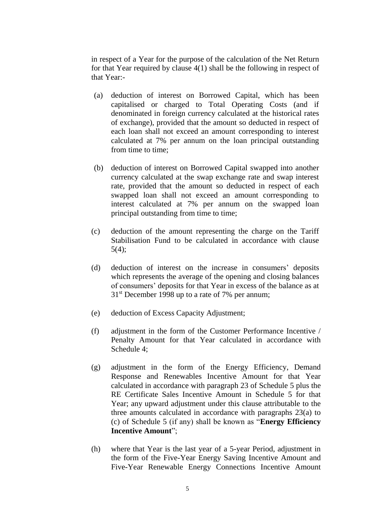in respect of a Year for the purpose of the calculation of the Net Return for that Year required by clause 4(1) shall be the following in respect of that Year:-

- (a) deduction of interest on Borrowed Capital, which has been capitalised or charged to Total Operating Costs (and if denominated in foreign currency calculated at the historical rates of exchange), provided that the amount so deducted in respect of each loan shall not exceed an amount corresponding to interest calculated at 7% per annum on the loan principal outstanding from time to time;
- (b) deduction of interest on Borrowed Capital swapped into another currency calculated at the swap exchange rate and swap interest rate, provided that the amount so deducted in respect of each swapped loan shall not exceed an amount corresponding to interest calculated at 7% per annum on the swapped loan principal outstanding from time to time;
- (c) deduction of the amount representing the charge on the Tariff Stabilisation Fund to be calculated in accordance with clause 5(4);
- (d) deduction of interest on the increase in consumers' deposits which represents the average of the opening and closing balances of consumers' deposits for that Year in excess of the balance as at  $31<sup>st</sup>$  December 1998 up to a rate of 7% per annum;
- (e) deduction of Excess Capacity Adjustment;
- (f) adjustment in the form of the Customer Performance Incentive / Penalty Amount for that Year calculated in accordance with Schedule 4;
- (g) adjustment in the form of the Energy Efficiency, Demand Response and Renewables Incentive Amount for that Year calculated in accordance with paragraph 23 of Schedule 5 plus the RE Certificate Sales Incentive Amount in Schedule 5 for that Year; any upward adjustment under this clause attributable to the three amounts calculated in accordance with paragraphs 23(a) to (c) of Schedule 5 (if any) shall be known as "**Energy Efficiency Incentive Amount**";
- (h) where that Year is the last year of a 5-year Period, adjustment in the form of the Five-Year Energy Saving Incentive Amount and Five-Year Renewable Energy Connections Incentive Amount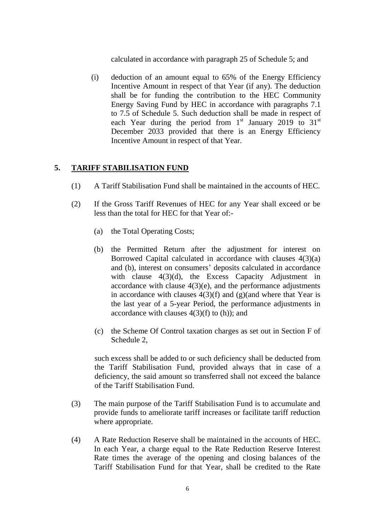calculated in accordance with paragraph 25 of Schedule 5; and

(i) deduction of an amount equal to 65% of the Energy Efficiency Incentive Amount in respect of that Year (if any). The deduction shall be for funding the contribution to the HEC Community Energy Saving Fund by HEC in accordance with paragraphs 7.1 to 7.5 of Schedule 5. Such deduction shall be made in respect of each Year during the period from  $1<sup>st</sup>$  January 2019 to 31 $<sup>st</sup>$ </sup> December 2033 provided that there is an Energy Efficiency Incentive Amount in respect of that Year.

#### **5. TARIFF STABILISATION FUND**

- (1) A Tariff Stabilisation Fund shall be maintained in the accounts of HEC.
- (2) If the Gross Tariff Revenues of HEC for any Year shall exceed or be less than the total for HEC for that Year of:-
	- (a) the Total Operating Costs;
	- (b) the Permitted Return after the adjustment for interest on Borrowed Capital calculated in accordance with clauses 4(3)(a) and (b), interest on consumers' deposits calculated in accordance with clause 4(3)(d), the Excess Capacity Adjustment in accordance with clause  $4(3)(e)$ , and the performance adjustments in accordance with clauses  $4(3)(f)$  and (g)(and where that Year is the last year of a 5-year Period, the performance adjustments in accordance with clauses  $4(3)(f)$  to (h)); and
	- (c) the Scheme Of Control taxation charges as set out in Section F of Schedule 2,

such excess shall be added to or such deficiency shall be deducted from the Tariff Stabilisation Fund, provided always that in case of a deficiency, the said amount so transferred shall not exceed the balance of the Tariff Stabilisation Fund.

- (3) The main purpose of the Tariff Stabilisation Fund is to accumulate and provide funds to ameliorate tariff increases or facilitate tariff reduction where appropriate.
- (4) A Rate Reduction Reserve shall be maintained in the accounts of HEC. In each Year, a charge equal to the Rate Reduction Reserve Interest Rate times the average of the opening and closing balances of the Tariff Stabilisation Fund for that Year, shall be credited to the Rate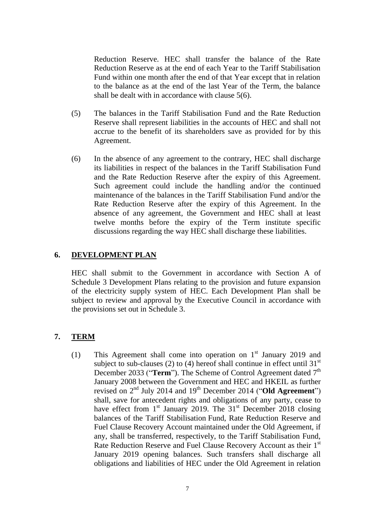Reduction Reserve. HEC shall transfer the balance of the Rate Reduction Reserve as at the end of each Year to the Tariff Stabilisation Fund within one month after the end of that Year except that in relation to the balance as at the end of the last Year of the Term, the balance shall be dealt with in accordance with clause 5(6).

- (5) The balances in the Tariff Stabilisation Fund and the Rate Reduction Reserve shall represent liabilities in the accounts of HEC and shall not accrue to the benefit of its shareholders save as provided for by this Agreement.
- (6) In the absence of any agreement to the contrary, HEC shall discharge its liabilities in respect of the balances in the Tariff Stabilisation Fund and the Rate Reduction Reserve after the expiry of this Agreement. Such agreement could include the handling and/or the continued maintenance of the balances in the Tariff Stabilisation Fund and/or the Rate Reduction Reserve after the expiry of this Agreement. In the absence of any agreement, the Government and HEC shall at least twelve months before the expiry of the Term institute specific discussions regarding the way HEC shall discharge these liabilities.

## **6. DEVELOPMENT PLAN**

HEC shall submit to the Government in accordance with Section A of Schedule 3 Development Plans relating to the provision and future expansion of the electricity supply system of HEC. Each Development Plan shall be subject to review and approval by the Executive Council in accordance with the provisions set out in Schedule 3.

#### **7. TERM**

(1) This Agreement shall come into operation on  $1<sup>st</sup>$  January 2019 and subject to sub-clauses (2) to (4) hereof shall continue in effect until  $31<sup>st</sup>$ December 2033 ("Term"). The Scheme of Control Agreement dated 7<sup>th</sup> January 2008 between the Government and HEC and HKEIL as further revised on 2<sup>nd</sup> July 2014 and 19<sup>th</sup> December 2014 ("Old Agreement") shall, save for antecedent rights and obligations of any party, cease to have effect from  $1<sup>st</sup>$  January 2019. The  $31<sup>st</sup>$  December 2018 closing balances of the Tariff Stabilisation Fund, Rate Reduction Reserve and Fuel Clause Recovery Account maintained under the Old Agreement, if any, shall be transferred, respectively, to the Tariff Stabilisation Fund, Rate Reduction Reserve and Fuel Clause Recovery Account as their 1<sup>st</sup> January 2019 opening balances. Such transfers shall discharge all obligations and liabilities of HEC under the Old Agreement in relation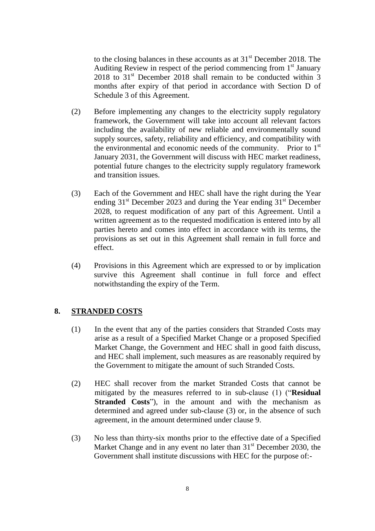to the closing balances in these accounts as at  $31<sup>st</sup>$  December 2018. The Auditing Review in respect of the period commencing from  $1<sup>st</sup>$  January  $2018$  to  $31<sup>st</sup>$  December 2018 shall remain to be conducted within 3 months after expiry of that period in accordance with Section D of Schedule 3 of this Agreement.

- (2) Before implementing any changes to the electricity supply regulatory framework, the Government will take into account all relevant factors including the availability of new reliable and environmentally sound supply sources, safety, reliability and efficiency, and compatibility with the environmental and economic needs of the community. Prior to  $1<sup>st</sup>$ January 2031, the Government will discuss with HEC market readiness, potential future changes to the electricity supply regulatory framework and transition issues.
- (3) Each of the Government and HEC shall have the right during the Year ending  $31<sup>st</sup>$  December 2023 and during the Year ending  $31<sup>st</sup>$  December 2028, to request modification of any part of this Agreement. Until a written agreement as to the requested modification is entered into by all parties hereto and comes into effect in accordance with its terms, the provisions as set out in this Agreement shall remain in full force and effect.
- (4) Provisions in this Agreement which are expressed to or by implication survive this Agreement shall continue in full force and effect notwithstanding the expiry of the Term.

## **8. STRANDED COSTS**

- (1) In the event that any of the parties considers that Stranded Costs may arise as a result of a Specified Market Change or a proposed Specified Market Change, the Government and HEC shall in good faith discuss, and HEC shall implement, such measures as are reasonably required by the Government to mitigate the amount of such Stranded Costs.
- (2) HEC shall recover from the market Stranded Costs that cannot be mitigated by the measures referred to in sub-clause (1) ("**Residual Stranded Costs**"), in the amount and with the mechanism as determined and agreed under sub-clause (3) or, in the absence of such agreement, in the amount determined under clause 9.
- (3) No less than thirty-six months prior to the effective date of a Specified Market Change and in any event no later than  $31<sup>st</sup>$  December 2030, the Government shall institute discussions with HEC for the purpose of:-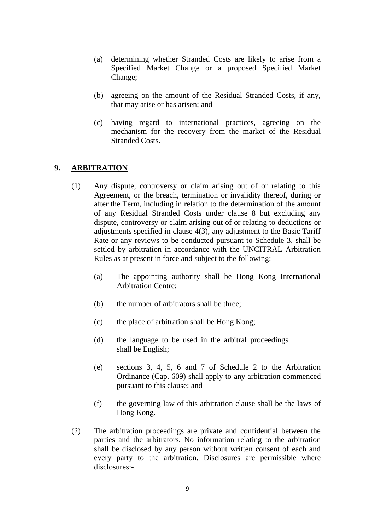- (a) determining whether Stranded Costs are likely to arise from a Specified Market Change or a proposed Specified Market Change;
- (b) agreeing on the amount of the Residual Stranded Costs, if any, that may arise or has arisen; and
- (c) having regard to international practices, agreeing on the mechanism for the recovery from the market of the Residual Stranded Costs.

## **9. ARBITRATION**

- (1) Any dispute, controversy or claim arising out of or relating to this Agreement, or the breach, termination or invalidity thereof, during or after the Term, including in relation to the determination of the amount of any Residual Stranded Costs under clause 8 but excluding any dispute, controversy or claim arising out of or relating to deductions or adjustments specified in clause 4(3), any adjustment to the Basic Tariff Rate or any reviews to be conducted pursuant to Schedule 3, shall be settled by arbitration in accordance with the UNCITRAL Arbitration Rules as at present in force and subject to the following:
	- (a) The appointing authority shall be Hong Kong International Arbitration Centre;
	- (b) the number of arbitrators shall be three;
	- (c) the place of arbitration shall be Hong Kong;
	- (d) the language to be used in the arbitral proceedings shall be English;
	- (e) sections 3, 4, 5, 6 and 7 of Schedule 2 to the Arbitration Ordinance (Cap. 609) shall apply to any arbitration commenced pursuant to this clause; and
	- (f) the governing law of this arbitration clause shall be the laws of Hong Kong.
- (2) The arbitration proceedings are private and confidential between the parties and the arbitrators. No information relating to the arbitration shall be disclosed by any person without written consent of each and every party to the arbitration. Disclosures are permissible where disclosures:-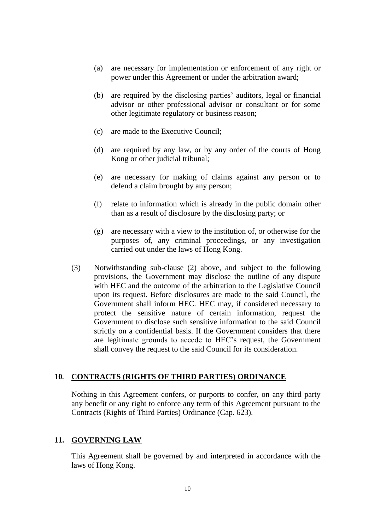- (a) are necessary for implementation or enforcement of any right or power under this Agreement or under the arbitration award;
- (b) are required by the disclosing parties' auditors, legal or financial advisor or other professional advisor or consultant or for some other legitimate regulatory or business reason;
- (c) are made to the Executive Council;
- (d) are required by any law, or by any order of the courts of Hong Kong or other judicial tribunal;
- (e) are necessary for making of claims against any person or to defend a claim brought by any person;
- (f) relate to information which is already in the public domain other than as a result of disclosure by the disclosing party; or
- (g) are necessary with a view to the institution of, or otherwise for the purposes of, any criminal proceedings, or any investigation carried out under the laws of Hong Kong.
- (3) Notwithstanding sub-clause (2) above, and subject to the following provisions, the Government may disclose the outline of any dispute with HEC and the outcome of the arbitration to the Legislative Council upon its request. Before disclosures are made to the said Council, the Government shall inform HEC. HEC may, if considered necessary to protect the sensitive nature of certain information, request the Government to disclose such sensitive information to the said Council strictly on a confidential basis. If the Government considers that there are legitimate grounds to accede to HEC's request, the Government shall convey the request to the said Council for its consideration.

#### **10. CONTRACTS (RIGHTS OF THIRD PARTIES) ORDINANCE**

Nothing in this Agreement confers, or purports to confer, on any third party any benefit or any right to enforce any term of this Agreement pursuant to the Contracts (Rights of Third Parties) Ordinance (Cap. 623).

#### **11. GOVERNING LAW**

This Agreement shall be governed by and interpreted in accordance with the laws of Hong Kong.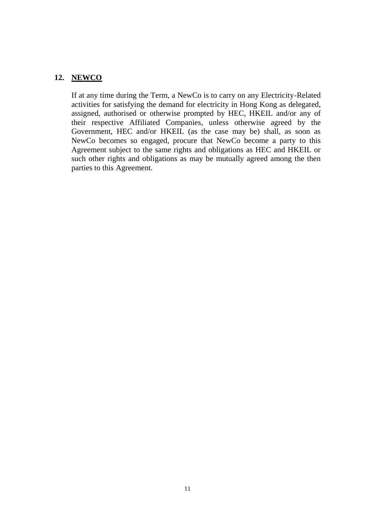## **12. NEWCO**

If at any time during the Term, a NewCo is to carry on any Electricity-Related activities for satisfying the demand for electricity in Hong Kong as delegated, assigned, authorised or otherwise prompted by HEC, HKEIL and/or any of their respective Affiliated Companies, unless otherwise agreed by the Government, HEC and/or HKEIL (as the case may be) shall, as soon as NewCo becomes so engaged, procure that NewCo become a party to this Agreement subject to the same rights and obligations as HEC and HKEIL or such other rights and obligations as may be mutually agreed among the then parties to this Agreement.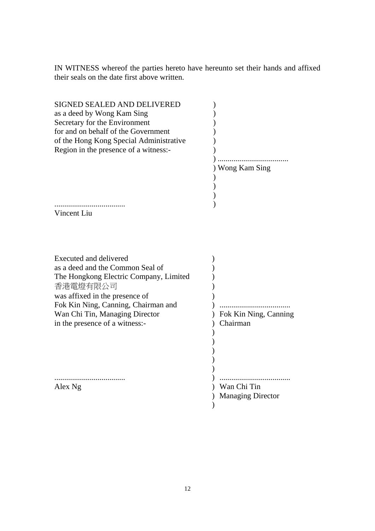IN WITNESS whereof the parties hereto have hereunto set their hands and affixed their seals on the date first above written.

| SIGNED SEALED AND DELIVERED<br>as a deed by Wong Kam Sing<br>Secretary for the Environment<br>for and on behalf of the Government<br>of the Hong Kong Special Administrative<br>Region in the presence of a witness:-                                                |                                         |
|----------------------------------------------------------------------------------------------------------------------------------------------------------------------------------------------------------------------------------------------------------------------|-----------------------------------------|
|                                                                                                                                                                                                                                                                      | Wong Kam Sing                           |
| Vincent Liu                                                                                                                                                                                                                                                          |                                         |
| <b>Executed and delivered</b><br>as a deed and the Common Seal of<br>The Hongkong Electric Company, Limited<br>香港電燈有限公司<br>was affixed in the presence of<br>Fok Kin Ning, Canning, Chairman and<br>Wan Chi Tin, Managing Director<br>in the presence of a witness:- | Fok Kin Ning, Canning<br>Chairman       |
| Alex Ng                                                                                                                                                                                                                                                              | Wan Chi Tin<br><b>Managing Director</b> |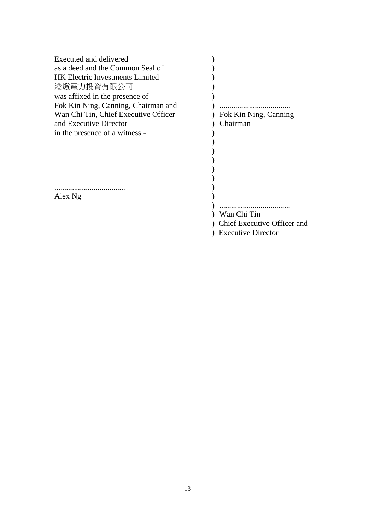| Executed and delivered<br>as a deed and the Common Seal of<br><b>HK Electric Investments Limited</b><br>港燈電力投資有限公司<br>was affixed in the presence of<br>Fok Kin Ning, Canning, Chairman and<br>Wan Chi Tin, Chief Executive Officer<br>and Executive Director<br>in the presence of a witness:- | Fok Kin Ning, Canning<br>Chairman          |
|-------------------------------------------------------------------------------------------------------------------------------------------------------------------------------------------------------------------------------------------------------------------------------------------------|--------------------------------------------|
| Alex Ng                                                                                                                                                                                                                                                                                         | Wan Chi Tin<br>Chief Executive Officer and |

) Executive Director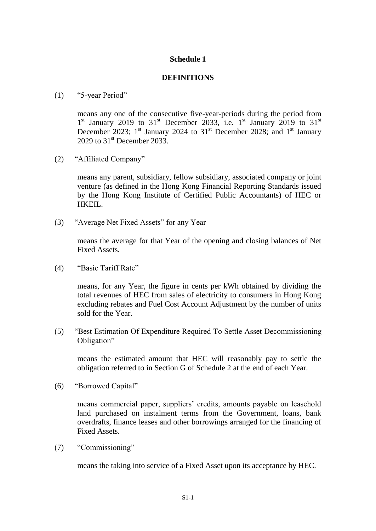# **Schedule 1**

## **DEFINITIONS**

#### (1) "5-year Period"

means any one of the consecutive five-year-periods during the period from  $1<sup>st</sup>$  January 2019 to 31<sup>st</sup> December 2033, i.e. 1<sup>st</sup> January 2019 to 31<sup>st</sup> December 2023;  $1^{st}$  January 2024 to  $31^{st}$  December 2028; and  $1^{st}$  January  $2029$  to  $31<sup>st</sup>$  December  $2033$ .

(2) "Affiliated Company"

means any parent, subsidiary, fellow subsidiary, associated company or joint venture (as defined in the Hong Kong Financial Reporting Standards issued by the Hong Kong Institute of Certified Public Accountants) of HEC or HKEIL.

(3) "Average Net Fixed Assets" for any Year

means the average for that Year of the opening and closing balances of Net Fixed Assets.

(4) "Basic Tariff Rate"

means, for any Year, the figure in cents per kWh obtained by dividing the total revenues of HEC from sales of electricity to consumers in Hong Kong excluding rebates and Fuel Cost Account Adjustment by the number of units sold for the Year.

(5) "Best Estimation Of Expenditure Required To Settle Asset Decommissioning Obligation"

means the estimated amount that HEC will reasonably pay to settle the obligation referred to in Section G of Schedule 2 at the end of each Year.

(6) "Borrowed Capital"

means commercial paper, suppliers' credits, amounts payable on leasehold land purchased on instalment terms from the Government, loans, bank overdrafts, finance leases and other borrowings arranged for the financing of Fixed Assets.

(7) "Commissioning"

means the taking into service of a Fixed Asset upon its acceptance by HEC.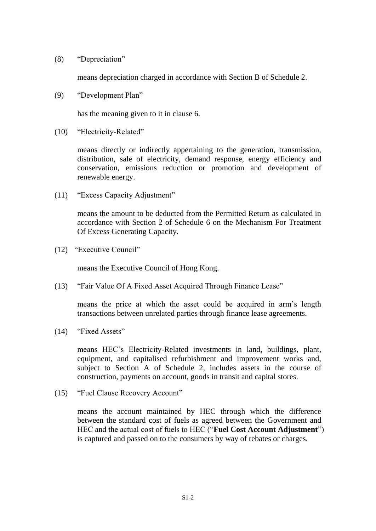(8) "Depreciation"

means depreciation charged in accordance with Section B of Schedule 2.

(9) "Development Plan"

has the meaning given to it in clause 6.

(10) "Electricity-Related"

means directly or indirectly appertaining to the generation, transmission, distribution, sale of electricity, demand response, energy efficiency and conservation, emissions reduction or promotion and development of renewable energy.

(11) "Excess Capacity Adjustment"

means the amount to be deducted from the Permitted Return as calculated in accordance with Section 2 of Schedule 6 on the Mechanism For Treatment Of Excess Generating Capacity.

(12) "Executive Council"

means the Executive Council of Hong Kong.

(13) "Fair Value Of A Fixed Asset Acquired Through Finance Lease"

means the price at which the asset could be acquired in arm's length transactions between unrelated parties through finance lease agreements.

(14) "Fixed Assets"

means HEC's Electricity-Related investments in land, buildings, plant, equipment, and capitalised refurbishment and improvement works and, subject to Section A of Schedule 2, includes assets in the course of construction, payments on account, goods in transit and capital stores.

(15) "Fuel Clause Recovery Account"

means the account maintained by HEC through which the difference between the standard cost of fuels as agreed between the Government and HEC and the actual cost of fuels to HEC ("**Fuel Cost Account Adjustment**") is captured and passed on to the consumers by way of rebates or charges.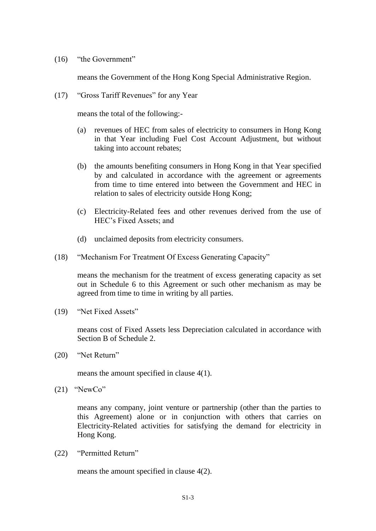(16) "the Government"

means the Government of the Hong Kong Special Administrative Region.

(17) "Gross Tariff Revenues" for any Year

means the total of the following:-

- (a) revenues of HEC from sales of electricity to consumers in Hong Kong in that Year including Fuel Cost Account Adjustment, but without taking into account rebates;
- (b) the amounts benefiting consumers in Hong Kong in that Year specified by and calculated in accordance with the agreement or agreements from time to time entered into between the Government and HEC in relation to sales of electricity outside Hong Kong;
- (c) Electricity-Related fees and other revenues derived from the use of HEC's Fixed Assets; and
- (d) unclaimed deposits from electricity consumers.
- (18) "Mechanism For Treatment Of Excess Generating Capacity"

means the mechanism for the treatment of excess generating capacity as set out in Schedule 6 to this Agreement or such other mechanism as may be agreed from time to time in writing by all parties.

(19) "Net Fixed Assets"

means cost of Fixed Assets less Depreciation calculated in accordance with Section B of Schedule 2.

(20) "Net Return"

means the amount specified in clause 4(1).

 $(21)$  "NewCo"

means any company, joint venture or partnership (other than the parties to this Agreement) alone or in conjunction with others that carries on Electricity-Related activities for satisfying the demand for electricity in Hong Kong.

(22) "Permitted Return"

means the amount specified in clause 4(2).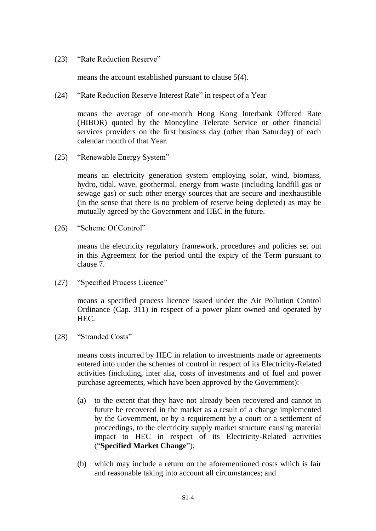(23) "Rate Reduction Reserve"

means the account established pursuant to clause 5(4).

(24) "Rate Reduction Reserve Interest Rate" in respect of a Year

means the average of one-month Hong Kong Interbank Offered Rate (HIBOR) quoted by the Moneyline Telerate Service or other financial services providers on the first business day (other than Saturday) of each calendar month of that Year.

(25) "Renewable Energy System"

means an electricity generation system employing solar, wind, biomass, hydro, tidal, wave, geothermal, energy from waste (including landfill gas or sewage gas) or such other energy sources that are secure and inexhaustible (in the sense that there is no problem of reserve being depleted) as may be mutually agreed by the Government and HEC in the future.

(26) "Scheme Of Control"

means the electricity regulatory framework, procedures and policies set out in this Agreement for the period until the expiry of the Term pursuant to clause 7.

(27) "Specified Process Licence"

means a specified process licence issued under the Air Pollution Control Ordinance (Cap. 311) in respect of a power plant owned and operated by HEC.

(28) "Stranded Costs"

means costs incurred by HEC in relation to investments made or agreements entered into under the schemes of control in respect of its Electricity-Related activities (including, inter alia, costs of investments and of fuel and power purchase agreements, which have been approved by the Government):-

- (a) to the extent that they have not already been recovered and cannot in future be recovered in the market as a result of a change implemented by the Government, or by a requirement by a court or a settlement of proceedings, to the electricity supply market structure causing material impact to HEC in respect of its Electricity-Related activities ("**Specified Market Change**");
- (b) which may include a return on the aforementioned costs which is fair and reasonable taking into account all circumstances; and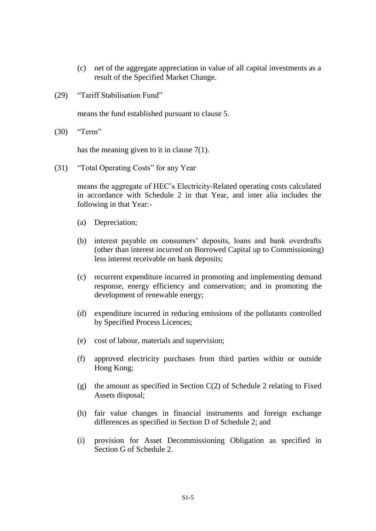- (c) net of the aggregate appreciation in value of all capital investments as a result of the Specified Market Change.
- (29) "Tariff Stabilisation Fund"

means the fund established pursuant to clause 5.

(30) "Term"

has the meaning given to it in clause 7(1).

(31) "Total Operating Costs" for any Year

means the aggregate of HEC's Electricity-Related operating costs calculated in accordance with Schedule 2 in that Year, and inter alia includes the following in that Year:-

- (a) Depreciation;
- (b) interest payable on consumers' deposits, loans and bank overdrafts (other than interest incurred on Borrowed Capital up to Commissioning) less interest receivable on bank deposits;
- (c) recurrent expenditure incurred in promoting and implementing demand response, energy efficiency and conservation; and in promoting the development of renewable energy;
- (d) expenditure incurred in reducing emissions of the pollutants controlled by Specified Process Licences;
- (e) cost of labour, materials and supervision;
- (f) approved electricity purchases from third parties within or outside Hong Kong;
- (g) the amount as specified in Section  $C(2)$  of Schedule 2 relating to Fixed Assets disposal;
- (h) fair value changes in financial instruments and foreign exchange differences as specified in Section D of Schedule 2; and
- (i) provision for Asset Decommissioning Obligation as specified in Section G of Schedule 2.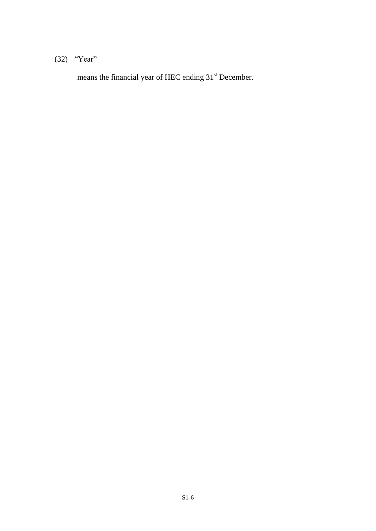# (32) "Year"

means the financial year of HEC ending 31<sup>st</sup> December.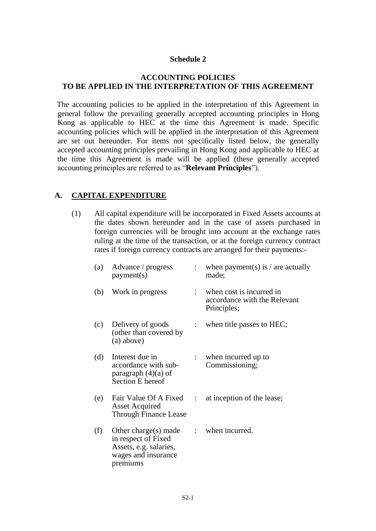## **Schedule 2**

## **ACCOUNTING POLICIES TO BE APPLIED IN THE INTERPRETATION OF THIS AGREEMENT**

The accounting policies to be applied in the interpretation of this Agreement in general follow the prevailing generally accepted accounting principles in Hong Kong as applicable to HEC at the time this Agreement is made. Specific accounting policies which will be applied in the interpretation of this Agreement are set out hereunder. For items not specifically listed below, the generally accepted accounting principles prevailing in Hong Kong and applicable to HEC at the time this Agreement is made will be applied (these generally accepted accounting principles are referred to as "**Relevant Principles**").

# **A. CAPITAL EXPENDITURE**

(1) All capital expenditure will be incorporated in Fixed Assets accounts at the dates shown hereunder and in the case of assets purchased in foreign currencies will be brought into account at the exchange rates ruling at the time of the transaction, or at the foreign currency contract rates if foreign currency contracts are arranged for their payments:-

| (a) | Advance / progress<br>payment(s)                                                                         |                           | : when payment(s) is / are actually<br>made;                              |
|-----|----------------------------------------------------------------------------------------------------------|---------------------------|---------------------------------------------------------------------------|
| (b) | Work in progress                                                                                         |                           | : when cost is incurred in<br>accordance with the Relevant<br>Principles; |
| (c) | Delivery of goods<br>(other than covered by<br>(a) above)                                                |                           | when title passes to HEC;                                                 |
| (d) | Interest due in<br>accordance with sub-<br>paragraph $(4)(a)$ of<br>Section E hereof                     |                           | $:$ when incurred up to<br>Commissioning;                                 |
| (e) | Fair Value Of A Fixed<br><b>Asset Acquired</b><br><b>Through Finance Lease</b>                           | $\mathbb{R}^{\mathbb{Z}}$ | at inception of the lease;                                                |
| (f) | Other charge(s) made<br>in respect of Fixed<br>Assets, e.g. salaries,<br>wages and insurance<br>premiums |                           | : when incurred.                                                          |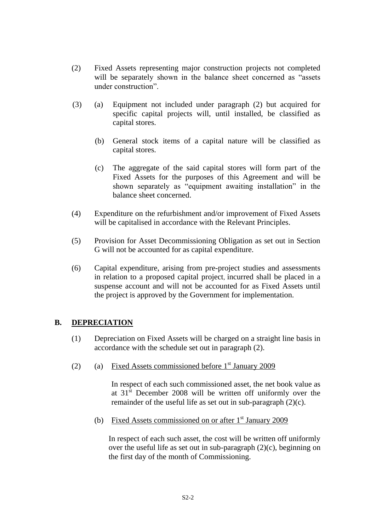- (2) Fixed Assets representing major construction projects not completed will be separately shown in the balance sheet concerned as "assets" under construction".
- (3) (a) Equipment not included under paragraph (2) but acquired for specific capital projects will, until installed, be classified as capital stores.
	- (b) General stock items of a capital nature will be classified as capital stores.
	- (c) The aggregate of the said capital stores will form part of the Fixed Assets for the purposes of this Agreement and will be shown separately as "equipment awaiting installation" in the balance sheet concerned.
- (4) Expenditure on the refurbishment and/or improvement of Fixed Assets will be capitalised in accordance with the Relevant Principles.
- (5) Provision for Asset Decommissioning Obligation as set out in Section G will not be accounted for as capital expenditure.
- (6) Capital expenditure, arising from pre-project studies and assessments in relation to a proposed capital project, incurred shall be placed in a suspense account and will not be accounted for as Fixed Assets until the project is approved by the Government for implementation.

# **B. DEPRECIATION**

- (1) Depreciation on Fixed Assets will be charged on a straight line basis in accordance with the schedule set out in paragraph (2).
- (2) (a) Fixed Assets commissioned before  $1<sup>st</sup>$  January 2009

In respect of each such commissioned asset, the net book value as at  $31<sup>st</sup>$  December 2008 will be written off uniformly over the remainder of the useful life as set out in sub-paragraph (2)(c).

(b) Fixed Assets commissioned on or after  $1<sup>st</sup>$  January 2009

In respect of each such asset, the cost will be written off uniformly over the useful life as set out in sub-paragraph (2)(c), beginning on the first day of the month of Commissioning.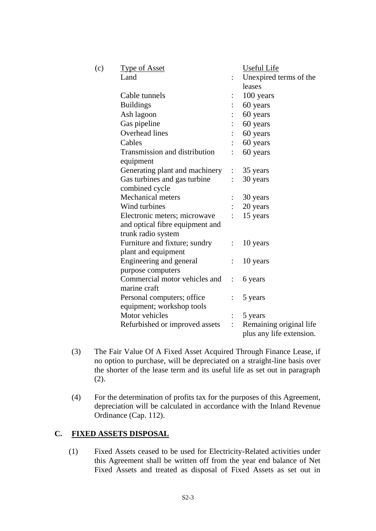| (c) | <b>Type of Asset</b>            |                | <b>Useful Life</b>                                  |
|-----|---------------------------------|----------------|-----------------------------------------------------|
|     | Land                            |                | Unexpired terms of the                              |
|     |                                 |                | leases                                              |
|     | Cable tunnels                   |                | 100 years                                           |
|     | <b>Buildings</b>                |                | 60 years                                            |
|     | Ash lagoon                      |                | 60 years                                            |
|     | Gas pipeline                    |                | 60 years                                            |
|     | <b>Overhead lines</b>           |                | 60 years                                            |
|     | Cables                          |                | 60 years                                            |
|     | Transmission and distribution   |                | 60 years                                            |
|     | equipment                       |                |                                                     |
|     | Generating plant and machinery  | $\vdots$       | 35 years                                            |
|     | Gas turbines and gas turbine    | $\ddot{\cdot}$ | 30 years                                            |
|     | combined cycle                  |                |                                                     |
|     | <b>Mechanical meters</b>        |                | 30 years                                            |
|     | Wind turbines                   |                | 20 years                                            |
|     | Electronic meters; microwave    | $\ddot{\cdot}$ | 15 years                                            |
|     | and optical fibre equipment and |                |                                                     |
|     | trunk radio system              |                |                                                     |
|     | Furniture and fixture; sundry   |                | 10 years                                            |
|     | plant and equipment             |                |                                                     |
|     | Engineering and general         |                | 10 years                                            |
|     | purpose computers               |                |                                                     |
|     | Commercial motor vehicles and   | $\ddot{\cdot}$ | 6 years                                             |
|     | marine craft                    |                |                                                     |
|     | Personal computers; office      | $\ddot{\cdot}$ | 5 years                                             |
|     | equipment; workshop tools       |                |                                                     |
|     | Motor vehicles                  | $\vdots$       | 5 years                                             |
|     | Refurbished or improved assets  | $\ddot{\cdot}$ | Remaining original life<br>plus any life extension. |

- (3) The Fair Value Of A Fixed Asset Acquired Through Finance Lease, if no option to purchase, will be depreciated on a straight-line basis over the shorter of the lease term and its useful life as set out in paragraph (2).
- (4) For the determination of profits tax for the purposes of this Agreement, depreciation will be calculated in accordance with the Inland Revenue Ordinance (Cap. 112).

## **C. FIXED ASSETS DISPOSAL**

(1) Fixed Assets ceased to be used for Electricity-Related activities under this Agreement shall be written off from the year end balance of Net Fixed Assets and treated as disposal of Fixed Assets as set out in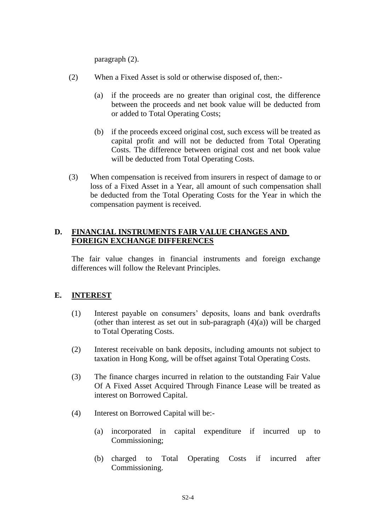paragraph (2).

- (2) When a Fixed Asset is sold or otherwise disposed of, then:-
	- (a) if the proceeds are no greater than original cost, the difference between the proceeds and net book value will be deducted from or added to Total Operating Costs;
	- (b) if the proceeds exceed original cost, such excess will be treated as capital profit and will not be deducted from Total Operating Costs. The difference between original cost and net book value will be deducted from Total Operating Costs.
- (3) When compensation is received from insurers in respect of damage to or loss of a Fixed Asset in a Year, all amount of such compensation shall be deducted from the Total Operating Costs for the Year in which the compensation payment is received.

## **D. FINANCIAL INSTRUMENTS FAIR VALUE CHANGES AND FOREIGN EXCHANGE DIFFERENCES**

The fair value changes in financial instruments and foreign exchange differences will follow the Relevant Principles.

# **E. INTEREST**

- (1) Interest payable on consumers' deposits, loans and bank overdrafts (other than interest as set out in sub-paragraph  $(4)(a)$ ) will be charged to Total Operating Costs.
- (2) Interest receivable on bank deposits, including amounts not subject to taxation in Hong Kong, will be offset against Total Operating Costs.
- (3) The finance charges incurred in relation to the outstanding Fair Value Of A Fixed Asset Acquired Through Finance Lease will be treated as interest on Borrowed Capital.
- (4) Interest on Borrowed Capital will be:-
	- (a) incorporated in capital expenditure if incurred up to Commissioning;
	- (b) charged to Total Operating Costs if incurred after Commissioning.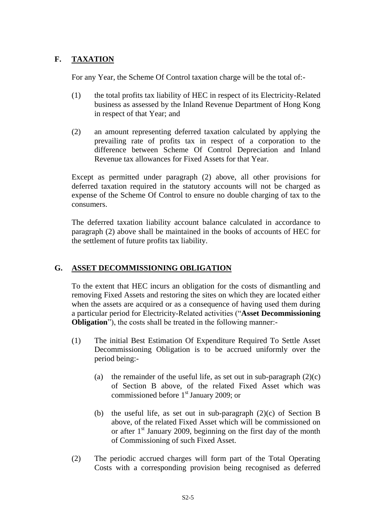# **F. TAXATION**

For any Year, the Scheme Of Control taxation charge will be the total of:-

- (1) the total profits tax liability of HEC in respect of its Electricity-Related business as assessed by the Inland Revenue Department of Hong Kong in respect of that Year; and
- (2) an amount representing deferred taxation calculated by applying the prevailing rate of profits tax in respect of a corporation to the difference between Scheme Of Control Depreciation and Inland Revenue tax allowances for Fixed Assets for that Year.

Except as permitted under paragraph (2) above, all other provisions for deferred taxation required in the statutory accounts will not be charged as expense of the Scheme Of Control to ensure no double charging of tax to the consumers.

The deferred taxation liability account balance calculated in accordance to paragraph (2) above shall be maintained in the books of accounts of HEC for the settlement of future profits tax liability.

# **G. ASSET DECOMMISSIONING OBLIGATION**

To the extent that HEC incurs an obligation for the costs of dismantling and removing Fixed Assets and restoring the sites on which they are located either when the assets are acquired or as a consequence of having used them during a particular period for Electricity-Related activities ("**Asset Decommissioning Obligation**"), the costs shall be treated in the following manner:-

- (1) The initial Best Estimation Of Expenditure Required To Settle Asset Decommissioning Obligation is to be accrued uniformly over the period being:-
	- (a) the remainder of the useful life, as set out in sub-paragraph  $(2)(c)$ of Section B above, of the related Fixed Asset which was commissioned before 1<sup>st</sup> January 2009; or
	- (b) the useful life, as set out in sub-paragraph (2)(c) of Section B above, of the related Fixed Asset which will be commissioned on or after  $1<sup>st</sup>$  January 2009, beginning on the first day of the month of Commissioning of such Fixed Asset.
- (2) The periodic accrued charges will form part of the Total Operating Costs with a corresponding provision being recognised as deferred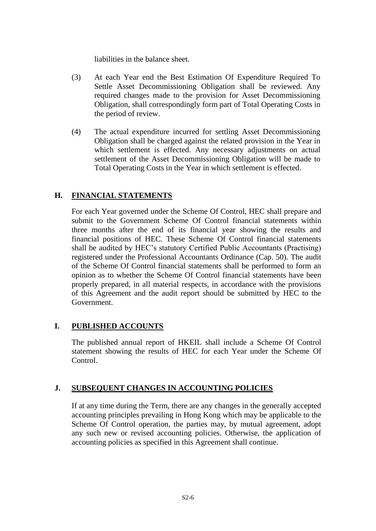liabilities in the balance sheet.

- (3) At each Year end the Best Estimation Of Expenditure Required To Settle Asset Decommissioning Obligation shall be reviewed. Any required changes made to the provision for Asset Decommissioning Obligation, shall correspondingly form part of Total Operating Costs in the period of review.
- (4) The actual expenditure incurred for settling Asset Decommissioning Obligation shall be charged against the related provision in the Year in which settlement is effected. Any necessary adjustments on actual settlement of the Asset Decommissioning Obligation will be made to Total Operating Costs in the Year in which settlement is effected.

# **H. FINANCIAL STATEMENTS**

For each Year governed under the Scheme Of Control, HEC shall prepare and submit to the Government Scheme Of Control financial statements within three months after the end of its financial year showing the results and financial positions of HEC. These Scheme Of Control financial statements shall be audited by HEC's statutory Certified Public Accountants (Practising) registered under the Professional Accountants Ordinance (Cap. 50). The audit of the Scheme Of Control financial statements shall be performed to form an opinion as to whether the Scheme Of Control financial statements have been properly prepared, in all material respects, in accordance with the provisions of this Agreement and the audit report should be submitted by HEC to the Government.

# **I. PUBLISHED ACCOUNTS**

The published annual report of HKEIL shall include a Scheme Of Control statement showing the results of HEC for each Year under the Scheme Of Control.

## **J. SUBSEQUENT CHANGES IN ACCOUNTING POLICIES**

If at any time during the Term, there are any changes in the generally accepted accounting principles prevailing in Hong Kong which may be applicable to the Scheme Of Control operation, the parties may, by mutual agreement, adopt any such new or revised accounting policies. Otherwise, the application of accounting policies as specified in this Agreement shall continue.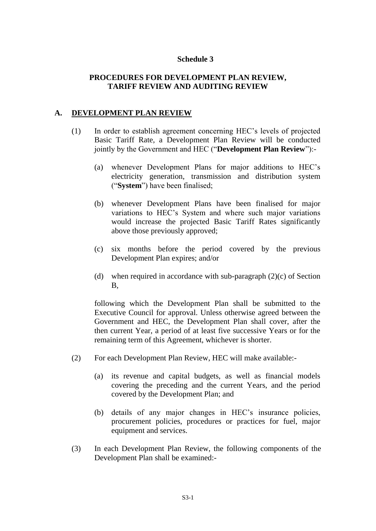#### **Schedule 3**

## **PROCEDURES FOR DEVELOPMENT PLAN REVIEW, TARIFF REVIEW AND AUDITING REVIEW**

#### **A. DEVELOPMENT PLAN REVIEW**

- (1) In order to establish agreement concerning HEC's levels of projected Basic Tariff Rate, a Development Plan Review will be conducted jointly by the Government and HEC ("**Development Plan Review**"):-
	- (a) whenever Development Plans for major additions to HEC's electricity generation, transmission and distribution system ("**System**") have been finalised;
	- (b) whenever Development Plans have been finalised for major variations to HEC's System and where such major variations would increase the projected Basic Tariff Rates significantly above those previously approved;
	- (c) six months before the period covered by the previous Development Plan expires; and/or
	- (d) when required in accordance with sub-paragraph  $(2)(c)$  of Section B,

following which the Development Plan shall be submitted to the Executive Council for approval. Unless otherwise agreed between the Government and HEC, the Development Plan shall cover, after the then current Year, a period of at least five successive Years or for the remaining term of this Agreement, whichever is shorter.

- (2) For each Development Plan Review, HEC will make available:-
	- (a) its revenue and capital budgets, as well as financial models covering the preceding and the current Years, and the period covered by the Development Plan; and
	- (b) details of any major changes in HEC's insurance policies, procurement policies, procedures or practices for fuel, major equipment and services.
- (3) In each Development Plan Review, the following components of the Development Plan shall be examined:-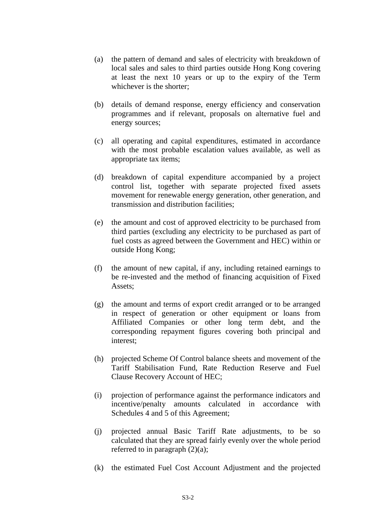- (a) the pattern of demand and sales of electricity with breakdown of local sales and sales to third parties outside Hong Kong covering at least the next 10 years or up to the expiry of the Term whichever is the shorter;
- (b) details of demand response, energy efficiency and conservation programmes and if relevant, proposals on alternative fuel and energy sources;
- (c) all operating and capital expenditures, estimated in accordance with the most probable escalation values available, as well as appropriate tax items;
- (d) breakdown of capital expenditure accompanied by a project control list, together with separate projected fixed assets movement for renewable energy generation, other generation, and transmission and distribution facilities;
- (e) the amount and cost of approved electricity to be purchased from third parties (excluding any electricity to be purchased as part of fuel costs as agreed between the Government and HEC) within or outside Hong Kong;
- (f) the amount of new capital, if any, including retained earnings to be re-invested and the method of financing acquisition of Fixed Assets;
- (g) the amount and terms of export credit arranged or to be arranged in respect of generation or other equipment or loans from Affiliated Companies or other long term debt, and the corresponding repayment figures covering both principal and interest;
- (h) projected Scheme Of Control balance sheets and movement of the Tariff Stabilisation Fund, Rate Reduction Reserve and Fuel Clause Recovery Account of HEC;
- (i) projection of performance against the performance indicators and incentive/penalty amounts calculated in accordance with Schedules 4 and 5 of this Agreement;
- (j) projected annual Basic Tariff Rate adjustments, to be so calculated that they are spread fairly evenly over the whole period referred to in paragraph  $(2)(a)$ ;
- (k) the estimated Fuel Cost Account Adjustment and the projected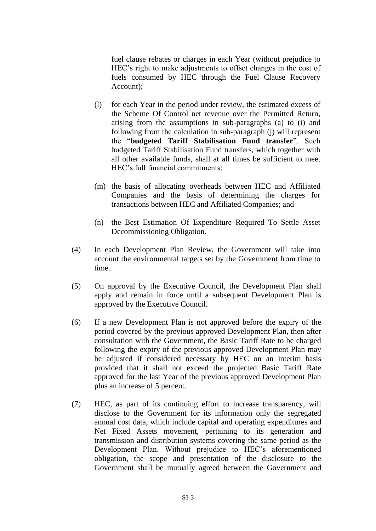fuel clause rebates or charges in each Year (without prejudice to HEC's right to make adjustments to offset changes in the cost of fuels consumed by HEC through the Fuel Clause Recovery Account);

- (l) for each Year in the period under review, the estimated excess of the Scheme Of Control net revenue over the Permitted Return, arising from the assumptions in sub-paragraphs (a) to (i) and following from the calculation in sub-paragraph (j) will represent the "**budgeted Tariff Stabilisation Fund transfer**". Such budgeted Tariff Stabilisation Fund transfers, which together with all other available funds, shall at all times be sufficient to meet HEC's full financial commitments;
- (m) the basis of allocating overheads between HEC and Affiliated Companies and the basis of determining the charges for transactions between HEC and Affiliated Companies; and
- (n) the Best Estimation Of Expenditure Required To Settle Asset Decommissioning Obligation.
- (4) In each Development Plan Review, the Government will take into account the environmental targets set by the Government from time to time.
- (5) On approval by the Executive Council, the Development Plan shall apply and remain in force until a subsequent Development Plan is approved by the Executive Council.
- (6) If a new Development Plan is not approved before the expiry of the period covered by the previous approved Development Plan, then after consultation with the Government, the Basic Tariff Rate to be charged following the expiry of the previous approved Development Plan may be adjusted if considered necessary by HEC on an interim basis provided that it shall not exceed the projected Basic Tariff Rate approved for the last Year of the previous approved Development Plan plus an increase of 5 percent.
- (7) HEC, as part of its continuing effort to increase transparency, will disclose to the Government for its information only the segregated annual cost data, which include capital and operating expenditures and Net Fixed Assets movement, pertaining to its generation and transmission and distribution systems covering the same period as the Development Plan. Without prejudice to HEC's aforementioned obligation, the scope and presentation of the disclosure to the Government shall be mutually agreed between the Government and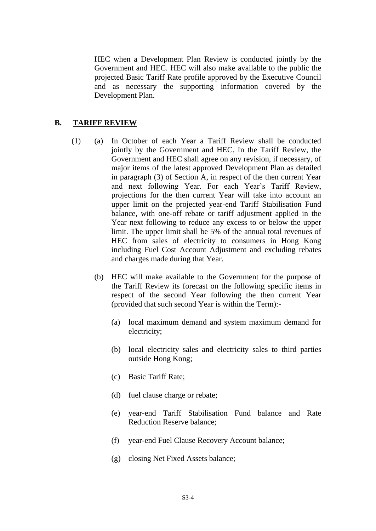HEC when a Development Plan Review is conducted jointly by the Government and HEC. HEC will also make available to the public the projected Basic Tariff Rate profile approved by the Executive Council and as necessary the supporting information covered by the Development Plan.

#### **B. TARIFF REVIEW**

- (1) (a) In October of each Year a Tariff Review shall be conducted jointly by the Government and HEC. In the Tariff Review, the Government and HEC shall agree on any revision, if necessary, of major items of the latest approved Development Plan as detailed in paragraph (3) of Section A, in respect of the then current Year and next following Year. For each Year's Tariff Review, projections for the then current Year will take into account an upper limit on the projected year-end Tariff Stabilisation Fund balance, with one-off rebate or tariff adjustment applied in the Year next following to reduce any excess to or below the upper limit. The upper limit shall be 5% of the annual total revenues of HEC from sales of electricity to consumers in Hong Kong including Fuel Cost Account Adjustment and excluding rebates and charges made during that Year.
	- (b) HEC will make available to the Government for the purpose of the Tariff Review its forecast on the following specific items in respect of the second Year following the then current Year (provided that such second Year is within the Term):-
		- (a) local maximum demand and system maximum demand for electricity;
		- (b) local electricity sales and electricity sales to third parties outside Hong Kong;
		- (c) Basic Tariff Rate;
		- (d) fuel clause charge or rebate;
		- (e) year-end Tariff Stabilisation Fund balance and Rate Reduction Reserve balance;
		- (f) year-end Fuel Clause Recovery Account balance;
		- (g) closing Net Fixed Assets balance;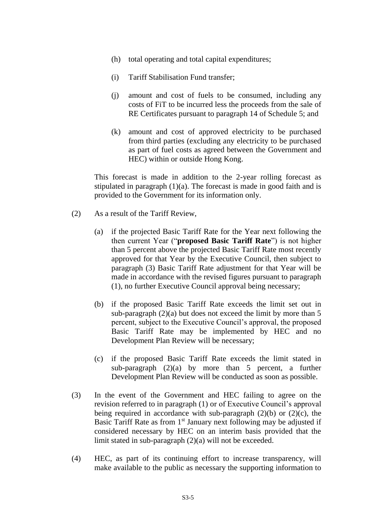- (h) total operating and total capital expenditures;
- (i) Tariff Stabilisation Fund transfer;
- (j) amount and cost of fuels to be consumed, including any costs of FiT to be incurred less the proceeds from the sale of RE Certificates pursuant to paragraph 14 of Schedule 5; and
- (k) amount and cost of approved electricity to be purchased from third parties (excluding any electricity to be purchased as part of fuel costs as agreed between the Government and HEC) within or outside Hong Kong.

This forecast is made in addition to the 2-year rolling forecast as stipulated in paragraph  $(1)(a)$ . The forecast is made in good faith and is provided to the Government for its information only.

- (2) As a result of the Tariff Review,
	- (a) if the projected Basic Tariff Rate for the Year next following the then current Year ("**proposed Basic Tariff Rate**") is not higher than 5 percent above the projected Basic Tariff Rate most recently approved for that Year by the Executive Council, then subject to paragraph (3) Basic Tariff Rate adjustment for that Year will be made in accordance with the revised figures pursuant to paragraph (1), no further Executive Council approval being necessary;
	- (b) if the proposed Basic Tariff Rate exceeds the limit set out in sub-paragraph  $(2)(a)$  but does not exceed the limit by more than 5 percent, subject to the Executive Council's approval, the proposed Basic Tariff Rate may be implemented by HEC and no Development Plan Review will be necessary;
	- (c) if the proposed Basic Tariff Rate exceeds the limit stated in sub-paragraph (2)(a) by more than 5 percent, a further Development Plan Review will be conducted as soon as possible.
- (3) In the event of the Government and HEC failing to agree on the revision referred to in paragraph (1) or of Executive Council's approval being required in accordance with sub-paragraph  $(2)(b)$  or  $(2)(c)$ , the Basic Tariff Rate as from  $1<sup>st</sup>$  January next following may be adjusted if considered necessary by HEC on an interim basis provided that the limit stated in sub-paragraph (2)(a) will not be exceeded.
- (4) HEC, as part of its continuing effort to increase transparency, will make available to the public as necessary the supporting information to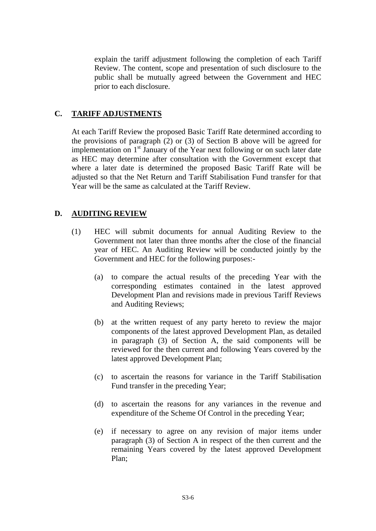explain the tariff adjustment following the completion of each Tariff Review. The content, scope and presentation of such disclosure to the public shall be mutually agreed between the Government and HEC prior to each disclosure.

## **C. TARIFF ADJUSTMENTS**

At each Tariff Review the proposed Basic Tariff Rate determined according to the provisions of paragraph (2) or (3) of Section B above will be agreed for implementation on  $1<sup>st</sup>$  January of the Year next following or on such later date as HEC may determine after consultation with the Government except that where a later date is determined the proposed Basic Tariff Rate [will be](http://will.be/) adjusted so that the Net Return and Tariff Stabilisation Fund transfer for that Year will be the same as calculated at the Tariff Review.

# **D. AUDITING REVIEW**

- (1) HEC will submit documents for annual Auditing Review to the Government not later than three months after the close of the financial year of HEC. An Auditing Review will be conducted jointly by the Government and HEC for the following purposes:-
	- (a) to compare the actual results of the preceding Year with the corresponding estimates contained in the latest approved Development Plan and revisions made in previous Tariff Reviews and Auditing Reviews;
	- (b) at the written request of any party hereto to review the major components of the latest approved Development Plan, as detailed in paragraph (3) of Section A, the said components will be reviewed for the then current and following Years covered by the latest approved Development Plan;
	- (c) to ascertain the reasons for variance in the Tariff Stabilisation Fund transfer in the preceding Year;
	- (d) to ascertain the reasons for any variances in the revenue and expenditure of the Scheme Of Control in the preceding Year;
	- (e) if necessary to agree on any revision of major items under paragraph (3) of Section A in respect of the then current and the remaining Years covered by the latest approved Development Plan;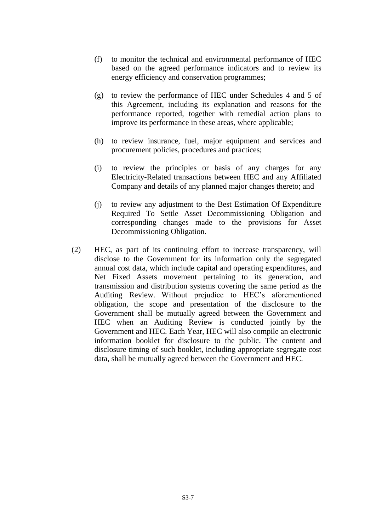- (f) to monitor the technical and environmental performance of HEC based on the agreed performance indicators and to review its energy efficiency and conservation programmes;
- (g) to review the performance of HEC under Schedules 4 and 5 of this Agreement, including its explanation and reasons for the performance reported, together with remedial action plans to improve its performance in these areas, where applicable;
- (h) to review insurance, fuel, major equipment and services and procurement policies, procedures and practices;
- (i) to review the principles or basis of any charges for any Electricity-Related transactions between HEC and any Affiliated Company and details of any planned major changes thereto; and
- (j) to review any adjustment to the Best Estimation Of Expenditure Required To Settle Asset Decommissioning Obligation and corresponding changes made to the provisions for Asset Decommissioning Obligation.
- (2) HEC, as part of its continuing effort to increase transparency, will disclose to the Government for its information only the segregated annual cost data, which include capital and operating expenditures, and Net Fixed Assets movement pertaining to its generation, and transmission and distribution systems covering the same period as the Auditing Review. Without prejudice to HEC's aforementioned obligation, the scope and presentation of the disclosure to the Government shall be mutually agreed between the Government and HEC when an Auditing Review is conducted jointly by the Government and HEC. Each Year, HEC will also compile an electronic information booklet for disclosure to the public. The content and disclosure timing of such booklet, including appropriate segregate cost data, shall be mutually agreed between the Government and HEC.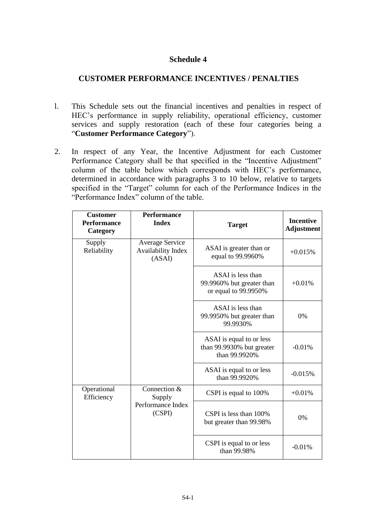# **Schedule 4**

## **CUSTOMER PERFORMANCE INCENTIVES / PENALTIES**

- l. This Schedule sets out the financial incentives and penalties in respect of HEC's performance in supply reliability, operational efficiency, customer services and supply restoration (each of these four categories being a "**Customer Performance Category**").
- 2. In respect of any Year, the Incentive Adjustment for each Customer Performance Category shall be that specified in the "Incentive Adjustment" column of the table below which corresponds with HEC's performance, determined in accordance with paragraphs 3 to 10 below, relative to targets specified in the "Target" column for each of the Performance Indices in the "Performance Index" column of the table.

| <b>Customer</b><br><b>Performance</b><br>Category | <b>Performance</b><br><b>Index</b>                     | <b>Target</b>                                                          | <b>Incentive</b><br><b>Adjustment</b> |
|---------------------------------------------------|--------------------------------------------------------|------------------------------------------------------------------------|---------------------------------------|
| Supply<br>Reliability                             | Average Service<br><b>Availability Index</b><br>(ASAI) | ASAI is greater than or<br>equal to 99.9960%                           | $+0.015%$                             |
|                                                   |                                                        | ASAI is less than<br>99.9960% but greater than<br>or equal to 99.9950% | $+0.01%$                              |
|                                                   |                                                        | ASAI is less than<br>99.9950% but greater than<br>99.9930%             | 0%                                    |
|                                                   |                                                        | ASAI is equal to or less<br>than 99.9930% but greater<br>than 99.9920% | $-0.01%$                              |
|                                                   |                                                        | ASAI is equal to or less<br>than 99.9920%                              | $-0.015%$                             |
| Operational<br>Efficiency                         | Connection $\overline{\&}$<br>Supply                   | CSPI is equal to 100%                                                  | $+0.01%$                              |
|                                                   | Performance Index<br>(CSPI)                            | CSPI is less than 100%<br>but greater than 99.98%                      | 0%                                    |
|                                                   |                                                        | CSPI is equal to or less<br>than 99.98%                                | $-0.01%$                              |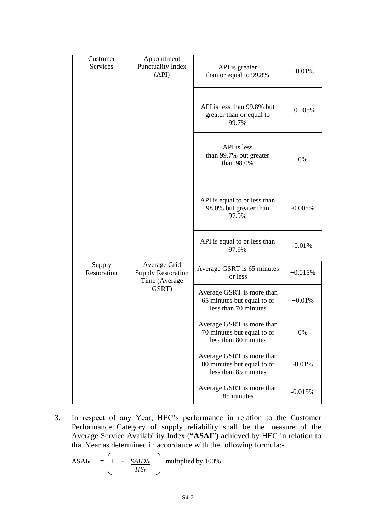| Customer<br>Services  | Appointment<br>Punctuality Index<br>(API)                  | API is greater<br>than or equal to 99.8%                                        | $+0.01%$  |
|-----------------------|------------------------------------------------------------|---------------------------------------------------------------------------------|-----------|
|                       |                                                            | API is less than 99.8% but<br>greater than or equal to<br>99.7%                 | $+0.005%$ |
|                       |                                                            | API is less<br>than 99.7% but greater<br>than 98.0%                             | 0%        |
|                       |                                                            | API is equal to or less than<br>98.0% but greater than<br>97.9%                 | $-0.005%$ |
|                       |                                                            | API is equal to or less than<br>97.9%                                           | $-0.01%$  |
| Supply<br>Restoration | Average Grid<br><b>Supply Restoration</b><br>Time (Average | Average GSRT is 65 minutes<br>or less                                           | $+0.015%$ |
|                       | GSRT)                                                      | Average GSRT is more than<br>65 minutes but equal to or<br>less than 70 minutes | $+0.01%$  |
|                       |                                                            | Average GSRT is more than<br>70 minutes but equal to or<br>less than 80 minutes | 0%        |
|                       |                                                            | Average GSRT is more than<br>80 minutes but equal to or<br>less than 85 minutes | $-0.01%$  |
|                       |                                                            | Average GSRT is more than<br>85 minutes                                         | $-0.015%$ |

3. In respect of any Year, HEC's performance in relation to the Customer Performance Category of supply reliability shall be the measure of the Average Service Availability Index ("**ASAI**") achieved by HEC in relation to that Year as determined in accordance with the following formula:-

$$
\text{ASAIn} \quad = \left(1 \quad - \quad \frac{\text{SAIDIn}}{\text{HY}_n} \quad \right) \quad \text{multiplied by 100\%}
$$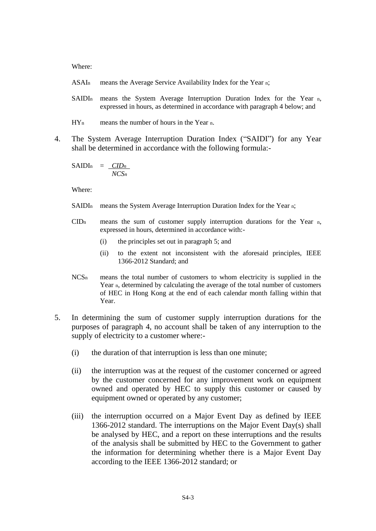Where:

- ASAIn means the Average Service Availability Index for the Year n;
- SAIDIn means the System Average Interruption Duration Index for the Year n, expressed in hours, as determined in accordance with paragraph 4 below; and
- HYn means the number of hours in the Year n.
- 4. The System Average Interruption Duration Index ("SAIDI") for any Year shall be determined in accordance with the following formula:-

SAIDIn = *CIDn NCSn*

Where:

- SAIDIn means the System Average Interruption Duration Index for the Year n;
- $CID<sub>n</sub>$  means the sum of customer supply interruption durations for the Year n, expressed in hours, determined in accordance with:-
	- (i) the principles set out in paragraph 5; and
	- (ii) to the extent not inconsistent with the aforesaid principles, IEEE 1366-2012 Standard; and
- NCSn means the total number of customers to whom electricity is supplied in the Year n, determined by calculating the average of the total number of customers of HEC in Hong Kong at the end of each calendar month falling within that Year.
- 5. In determining the sum of customer supply interruption durations for the purposes of paragraph 4, no account shall be taken of any interruption to the supply of electricity to a customer where:-
	- (i) the duration of that interruption is less than one minute;
	- (ii) the interruption was at the request of the customer concerned or agreed by the customer concerned for any improvement work on equipment owned and operated by HEC to supply this customer or caused by equipment owned or operated by any customer;
	- (iii) the interruption occurred on a Major Event Day as defined by IEEE 1366-2012 standard. The interruptions on the Major Event Day(s) shall be analysed by HEC, and a report on these interruptions and the results of the analysis shall be submitted by HEC to the Government to gather the information for determining whether there is a Major Event Day according to the IEEE 1366-2012 standard; or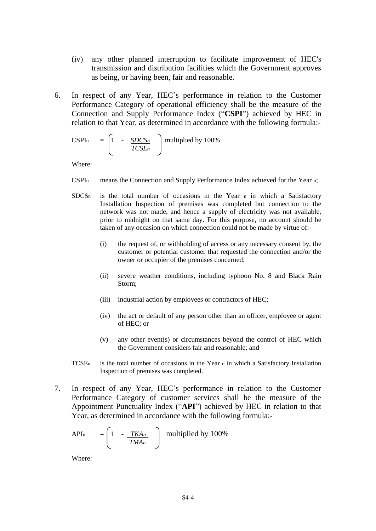- (iv) any other planned interruption to facilitate improvement of HEC's transmission and distribution facilities which the Government approves as being, or having been, fair and reasonable.
- 6. In respect of any Year, HEC's performance in relation to the Customer Performance Category of operational efficiency shall be the measure of the Connection and Supply Performance Index ("**CSPI**") achieved by HEC in relation to that Year, as determined in accordance with the following formula:-

$$
\text{CSPIn} \quad = \begin{bmatrix} 1 & - & \frac{\text{SDCS}_n}{\text{TCS}E_n} \end{bmatrix} \text{ multiplied by } 100\%
$$

Where:

- CSPIn means the Connection and Supply Performance Index achieved for the Year n;
- $SDCS<sub>n</sub>$  is the total number of occasions in the Year n in which a Satisfactory Installation Inspection of premises was completed but connection to the network was not made, and hence a supply of electricity was not available, prior to midnight on that same day. For this purpose, no account should be taken of any occasion on which connection could not be made by virtue of:-
	- (i) the request of, or withholding of access or any necessary consent by, the customer or potential customer that requested the connection and/or the owner or occupier of the premises concerned;
	- (ii) severe weather conditions, including typhoon No. 8 and Black Rain Storm;
	- (iii) industrial action by employees or contractors of HEC;
	- (iv) the act or default of any person other than an officer, employee or agent of HEC; or
	- (v) any other event(s) or circumstances beyond the control of HEC which the Government considers fair and reasonable; and
- TCSEn is the total number of occasions in the Year n in which a Satisfactory Installation Inspection of premises was completed.
- 7. In respect of any Year, HEC's performance in relation to the Customer Performance Category of customer services shall be the measure of the Appointment Punctuality Index ("**API**") achieved by HEC in relation to that Year, as determined in accordance with the following formula:-

APIn = 
$$
\begin{bmatrix} 1 & -\frac{TKA_n}{TMA_n} \end{bmatrix}
$$
 multiplied by 100%

Where: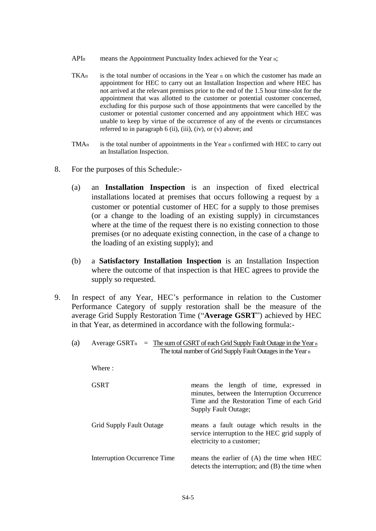- API<sub>n</sub> means the Appointment Punctuality Index achieved for the Year n;
- $TKAn$  is the total number of occasions in the Year n on which the customer has made an appointment for HEC to carry out an Installation Inspection and where HEC has not arrived at the relevant premises prior to the end of the 1.5 hour time-slot for the appointment that was allotted to the customer or potential customer concerned, excluding for this purpose such of those appointments that were cancelled by the customer or potential customer concerned and any appointment which HEC was unable to keep by virtue of the occurrence of any of the events or circumstances referred to in paragraph  $6$  (ii), (iii), (iv), or (v) above; and
- TMAn is the total number of appointments in the Year n confirmed with HEC to carry out an Installation Inspection.
- 8. For the purposes of this Schedule:-
	- (a) an **Installation Inspection** is an inspection of fixed electrical installations located at premises that occurs following a request by a customer or potential customer of HEC for a supply to those premises (or a change to the loading of an existing supply) in circumstances where at the time of the request there is no existing connection to those premises (or no adequate existing connection, in the case of a change to the loading of an existing supply); and
	- (b) a **Satisfactory Installation Inspection** is an Installation Inspection where the outcome of that inspection is that HEC agrees to provide the supply so requested.
- 9. In respect of any Year, HEC's performance in relation to the Customer Performance Category of supply restoration shall be the measure of the average Grid Supply Restoration Time ("**Average GSRT**") achieved by HEC in that Year, as determined in accordance with the following formula:-

| (a) | Average GSRT <sub>n</sub>       | $=$ The sum of GSRT of each Grid Supply Fault Outage in the Year n<br>The total number of Grid Supply Fault Outages in the Year n                            |  |
|-----|---------------------------------|--------------------------------------------------------------------------------------------------------------------------------------------------------------|--|
|     | Where:                          |                                                                                                                                                              |  |
|     | <b>GSRT</b>                     | means the length of time, expressed in<br>minutes, between the Interruption Occurrence<br>Time and the Restoration Time of each Grid<br>Supply Fault Outage; |  |
|     | <b>Grid Supply Fault Outage</b> | means a fault outage which results in the<br>service interruption to the HEC grid supply of<br>electricity to a customer;                                    |  |
|     | Interruption Occurrence Time    | means the earlier of (A) the time when HEC<br>detects the interruption; and (B) the time when                                                                |  |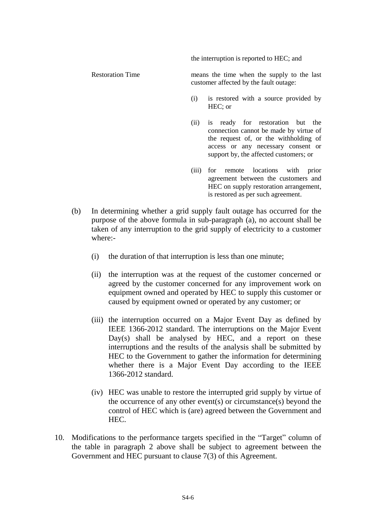the interruption is reported to HEC; and

Restoration Time means the time when the supply to the last customer affected by the fault outage:

- (i) is restored with a source provided by HEC; or
- (ii) is ready for restoration but the connection cannot be made by virtue of the request of, or the withholding of access or any necessary consent or support by, the affected customers; or
- (iii) for remote locations with prior agreement between the customers and HEC on supply restoration arrangement, is restored as per such agreement.
- (b) In determining whether a grid supply fault outage has occurred for the purpose of the above formula in sub-paragraph (a), no account shall be taken of any interruption to the grid supply of electricity to a customer where:-
	- (i) the duration of that interruption is less than one minute;
	- (ii) the interruption was at the request of the customer concerned or agreed by the customer concerned for any improvement work on equipment owned and operated by HEC to supply this customer or caused by equipment owned or operated by any customer; or
	- (iii) the interruption occurred on a Major Event Day as defined by IEEE 1366-2012 standard. The interruptions on the Major Event Day(s) shall be analysed by HEC, and a report on these interruptions and the results of the analysis shall be submitted by HEC to the Government to gather the information for determining whether there is a Major Event Day according to the IEEE 1366-2012 standard.
	- (iv) HEC was unable to restore the interrupted grid supply by virtue of the occurrence of any other event(s) or circumstance(s) beyond the control of HEC which is (are) agreed between the Government and HEC.
- 10. Modifications to the performance targets specified in the "Target" column of the table in paragraph 2 above shall be subject to agreement between the Government and HEC pursuant to clause 7(3) of this Agreement.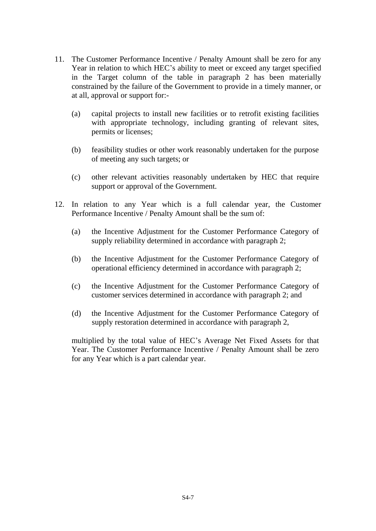- 11. The Customer Performance Incentive / Penalty Amount shall be zero for any Year in relation to which HEC's ability to meet or exceed any target specified in the Target column of the table in paragraph 2 has been materially constrained by the failure of the Government to provide in a timely manner, or at all, approval or support for:-
	- (a) capital projects to install new facilities or to retrofit existing facilities with appropriate technology, including granting of relevant sites, permits or licenses;
	- (b) feasibility studies or other work reasonably undertaken for the purpose of meeting any such targets; or
	- (c) other relevant activities reasonably undertaken by HEC that require support or approval of the Government.
- 12. In relation to any Year which is a full calendar year, the Customer Performance Incentive / Penalty Amount shall be the sum of:
	- (a) the Incentive Adjustment for the Customer Performance Category of supply reliability determined in accordance with paragraph 2;
	- (b) the Incentive Adjustment for the Customer Performance Category of operational efficiency determined in accordance with paragraph 2;
	- (c) the Incentive Adjustment for the Customer Performance Category of customer services determined in accordance with paragraph 2; and
	- (d) the Incentive Adjustment for the Customer Performance Category of supply restoration determined in accordance with paragraph 2,

multiplied by the total value of HEC's Average Net Fixed Assets for that Year. The Customer Performance Incentive / Penalty Amount shall be zero for any Year which is a part calendar year.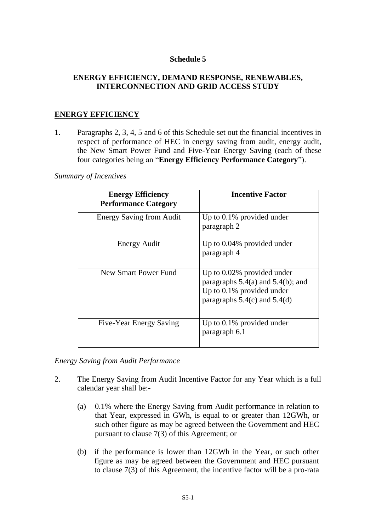## **Schedule 5**

## **ENERGY EFFICIENCY, DEMAND RESPONSE, RENEWABLES, INTERCONNECTION AND GRID ACCESS STUDY**

## **ENERGY EFFICIENCY**

1. Paragraphs 2, 3, 4, 5 and 6 of this Schedule set out the financial incentives in respect of performance of HEC in energy saving from audit, energy audit, the New Smart Power Fund and Five-Year Energy Saving (each of these four categories being an "**Energy Efficiency Performance Category**").

*Summary of Incentives*

| <b>Energy Efficiency</b><br><b>Performance Category</b> | <b>Incentive Factor</b>                                                                                                                  |
|---------------------------------------------------------|------------------------------------------------------------------------------------------------------------------------------------------|
| <b>Energy Saving from Audit</b>                         | Up to $0.1\%$ provided under<br>paragraph 2                                                                                              |
| Energy Audit                                            | Up to 0.04% provided under<br>paragraph 4                                                                                                |
| New Smart Power Fund                                    | Up to 0.02% provided under<br>paragraphs $5.4(a)$ and $5.4(b)$ ; and<br>Up to $0.1\%$ provided under<br>paragraphs $5.4(c)$ and $5.4(d)$ |
| Five-Year Energy Saving                                 | Up to $0.1\%$ provided under<br>paragraph 6.1                                                                                            |

*Energy Saving from Audit Performance*

- 2. The Energy Saving from Audit Incentive Factor for any Year which is a full calendar year shall be:-
	- (a) 0.1% where the Energy Saving from Audit performance in relation to that Year, expressed in GWh, is equal to or greater than 12GWh, or such other figure as may be agreed between the Government and HEC pursuant to clause 7(3) of this Agreement; or
	- (b) if the performance is lower than 12GWh in the Year, or such other figure as may be agreed between the Government and HEC pursuant to clause 7(3) of this Agreement, the incentive factor will be a pro-rata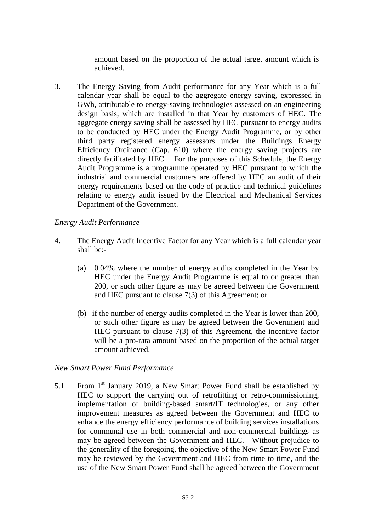amount based on the proportion of the actual target amount which is achieved.

3. The Energy Saving from Audit performance for any Year which is a full calendar year shall be equal to the aggregate energy saving, expressed in GWh, attributable to energy-saving technologies assessed on an engineering design basis, which are installed in that Year by customers of HEC. The aggregate energy saving shall be assessed by HEC pursuant to energy audits to be conducted by HEC under the Energy Audit Programme, or by other third party registered energy assessors under the Buildings Energy Efficiency Ordinance (Cap. 610) where the energy saving projects are directly facilitated by HEC. For the purposes of this Schedule, the Energy Audit Programme is a programme operated by HEC pursuant to which the industrial and commercial customers are offered by HEC an audit of their energy requirements based on the code of practice and technical guidelines relating to energy audit issued by the Electrical and Mechanical Services Department of the Government.

#### *Energy Audit Performance*

- 4. The Energy Audit Incentive Factor for any Year which is a full calendar year shall be:-
	- (a) 0.04% where the number of energy audits completed in the Year by HEC under the Energy Audit Programme is equal to or greater than 200, or such other figure as may be agreed between the Government and HEC pursuant to clause 7(3) of this Agreement; or
	- (b) if the number of energy audits completed in the Year is lower than 200, or such other figure as may be agreed between the Government and HEC pursuant to clause 7(3) of this Agreement, the incentive factor will be a pro-rata amount based on the proportion of the actual target amount achieved.

#### *New Smart Power Fund Performance*

5.1 From  $1<sup>st</sup>$  January 2019, a New Smart Power Fund shall be established by HEC to support the carrying out of retrofitting or retro-commissioning, implementation of building-based smart/IT technologies, or any other improvement measures as agreed between the Government and HEC to enhance the energy efficiency performance of building services installations for communal use in both commercial and non-commercial buildings as may be agreed between the Government and HEC. Without prejudice to the generality of the foregoing, the objective of the New Smart Power Fund may be reviewed by the Government and HEC from time to time, and the use of the New Smart Power Fund shall be agreed between the Government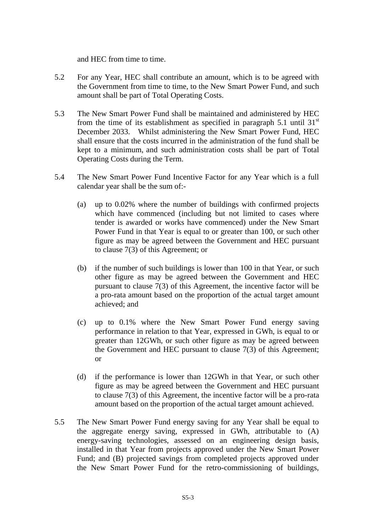and HEC from time to time.

- 5.2 For any Year, HEC shall contribute an amount, which is to be agreed with the Government from time to time, to the New Smart Power Fund, and such amount shall be part of Total Operating Costs.
- 5.3 The New Smart Power Fund shall be maintained and administered by HEC from the time of its establishment as specified in paragraph 5.1 until 31 $\mathrm{^{st}}$ December 2033. Whilst administering the New Smart Power Fund, HEC shall ensure that the costs incurred in the administration of the fund shall be kept to a minimum, and such administration costs shall be part of Total Operating Costs during the Term.
- 5.4 The New Smart Power Fund Incentive Factor for any Year which is a full calendar year shall be the sum of:-
	- (a) up to 0.02% where the number of buildings with confirmed projects which have commenced (including but not limited to cases where tender is awarded or works have commenced) under the New Smart Power Fund in that Year is equal to or greater than 100, or such other figure as may be agreed between the Government and HEC pursuant to clause 7(3) of this Agreement; or
	- (b) if the number of such buildings is lower than 100 in that Year, or such other figure as may be agreed between the Government and HEC pursuant to clause 7(3) of this Agreement, the incentive factor will be a pro-rata amount based on the proportion of the actual target amount achieved; and
	- (c) up to 0.1% where the New Smart Power Fund energy saving performance in relation to that Year, expressed in GWh, is equal to or greater than 12GWh, or such other figure as may be agreed between the Government and HEC pursuant to clause 7(3) of this Agreement; or
	- (d) if the performance is lower than 12GWh in that Year, or such other figure as may be agreed between the Government and HEC pursuant to clause 7(3) of this Agreement, the incentive factor will be a pro-rata amount based on the proportion of the actual target amount achieved.
- 5.5 The New Smart Power Fund energy saving for any Year shall be equal to the aggregate energy saving, expressed in GWh, attributable to (A) energy-saving technologies, assessed on an engineering design basis, installed in that Year from projects approved under the New Smart Power Fund; and (B) projected savings from completed projects approved under the New Smart Power Fund for the retro-commissioning of buildings,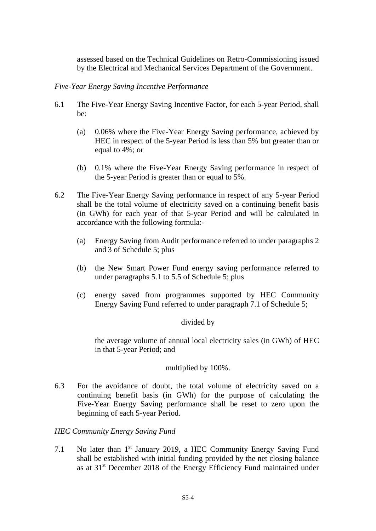assessed based on the Technical Guidelines on Retro-Commissioning issued by the Electrical and Mechanical Services Department of the Government.

## *Five-Year Energy Saving Incentive Performance*

- 6.1 The Five-Year Energy Saving Incentive Factor, for each 5-year Period, shall be:
	- (a) 0.06% where the Five-Year Energy Saving performance, achieved by HEC in respect of the 5-year Period is less than 5% but greater than or equal to 4%; or
	- (b) 0.1% where the Five-Year Energy Saving performance in respect of the 5-year Period is greater than or equal to 5%.
- 6.2 The Five-Year Energy Saving performance in respect of any 5-year Period shall be the total volume of electricity saved on a continuing benefit basis (in GWh) for each year of that 5-year Period and will be calculated in accordance with the following formula:-
	- (a) Energy Saving from Audit performance referred to under paragraphs 2 and 3 of Schedule 5; plus
	- (b) the New Smart Power Fund energy saving performance referred to under paragraphs 5.1 to 5.5 of Schedule 5; plus
	- (c) energy saved from programmes supported by HEC Community Energy Saving Fund referred to under paragraph 7.1 of Schedule 5;

## divided by

the average volume of annual local electricity sales (in GWh) of HEC in that 5-year Period; and

## multiplied by 100%.

6.3 For the avoidance of doubt, the total volume of electricity saved on a continuing benefit basis (in GWh) for the purpose of calculating the Five-Year Energy Saving performance shall be reset to zero upon the beginning of each 5-year Period.

## *HEC Community Energy Saving Fund*

7.1 No later than 1<sup>st</sup> January 2019, a HEC Community Energy Saving Fund shall be established with initial funding provided by the net closing balance as at 31<sup>st</sup> December 2018 of the Energy Efficiency Fund maintained under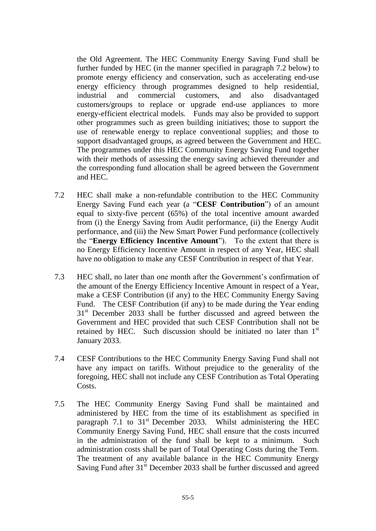the Old Agreement. The HEC Community Energy Saving Fund shall be further funded by HEC (in the manner specified in paragraph 7.2 below) to promote energy efficiency and conservation, such as accelerating end-use energy efficiency through programmes designed to help residential, industrial and commercial customers, and also disadvantaged customers/groups to replace or upgrade end-use appliances to more energy-efficient electrical models. Funds may also be provided to support other programmes such as green building initiatives; those to support the use of renewable energy to replace conventional supplies; and those to support disadvantaged groups, as agreed between the Government and HEC. The programmes under this HEC Community Energy Saving Fund together with their methods of assessing the energy saving achieved thereunder and the corresponding fund allocation shall be agreed between the Government and HEC.

- 7.2 HEC shall make a non-refundable contribution to the HEC Community Energy Saving Fund each year (a "**CESF Contribution**") of an amount equal to sixty-five percent (65%) of the total incentive amount awarded from (i) the Energy Saving from Audit performance, (ii) the Energy Audit performance, and (iii) the New Smart Power Fund performance (collectively the "**Energy Efficiency Incentive Amount**"). To the extent that there is no Energy Efficiency Incentive Amount in respect of any Year, HEC shall have no obligation to make any CESF Contribution in respect of that Year.
- 7.3 HEC shall, no later than one month after the Government's confirmation of the amount of the Energy Efficiency Incentive Amount in respect of a Year, make a CESF Contribution (if any) to the HEC Community Energy Saving Fund. The CESF Contribution (if any) to be made during the Year ending 31<sup>st</sup> December 2033 shall be further discussed and agreed between the Government and HEC provided that such CESF Contribution shall not be retained by HEC. Such discussion should be initiated no later than 1<sup>st</sup> January 2033.
- 7.4 CESF Contributions to the HEC Community Energy Saving Fund shall not have any impact on tariffs. Without prejudice to the generality of the foregoing, HEC shall not include any CESF Contribution as Total Operating Costs.
- 7.5 The HEC Community Energy Saving Fund shall be maintained and administered by HEC from the time of its establishment as specified in paragraph 7.1 to  $31<sup>st</sup>$  December 2033. Whilst administering the HEC Community Energy Saving Fund, HEC shall ensure that the costs incurred in the administration of the fund shall be kept to a minimum. Such administration costs shall be part of Total Operating Costs during the Term. The treatment of any available balance in the HEC Community Energy Saving Fund after 31<sup>st</sup> December 2033 shall be further discussed and agreed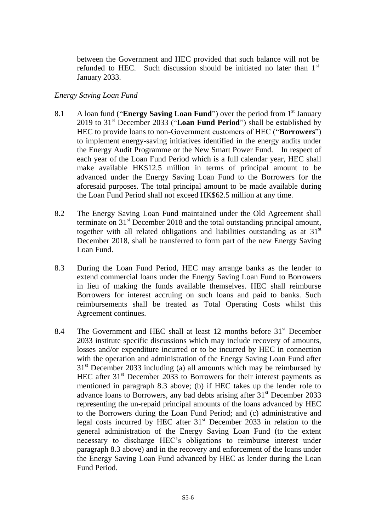between the Government and HEC provided that such balance will not be refunded to HEC. Such discussion should be initiated no later than 1<sup>st</sup> January 2033.

## *Energy Saving Loan Fund*

- 8.1 A loan fund ("**Energy Saving Loan Fund**") over the period from 1<sup>st</sup> January 2019 to 31st December 2033 ("**Loan Fund Period**") shall be established by HEC to provide loans to non-Government customers of HEC ("**Borrowers**") to implement energy-saving initiatives identified in the energy audits under the Energy Audit Programme or the New Smart Power Fund. In respect of each year of the Loan Fund Period which is a full calendar year, HEC shall make available HK\$12.5 million in terms of principal amount to be advanced under the Energy Saving Loan Fund to the Borrowers for the aforesaid purposes. The total principal amount to be made available during the Loan Fund Period shall not exceed HK\$62.5 million at any time.
- 8.2 The Energy Saving Loan Fund maintained under the Old Agreement shall terminate on  $31<sup>st</sup>$  December 2018 and the total outstanding principal amount, together with all related obligations and liabilities outstanding as at  $31<sup>st</sup>$ December 2018, shall be transferred to form part of the new Energy Saving Loan Fund.
- 8.3 During the Loan Fund Period, HEC may arrange banks as the lender to extend commercial loans under the Energy Saving Loan Fund to Borrowers in lieu of making the funds available themselves. HEC shall reimburse Borrowers for interest accruing on such loans and paid to banks. Such reimbursements shall be treated as Total Operating Costs whilst this Agreement continues.
- 8.4 The Government and HEC shall at least 12 months before 31<sup>st</sup> December 2033 institute specific discussions which may include recovery of amounts, losses and/or expenditure incurred or to be incurred by HEC in connection with the operation and administration of the Energy Saving Loan Fund after  $31<sup>st</sup>$  December 2033 including (a) all amounts which may be reimbursed by HEC after  $31<sup>st</sup>$  December 2033 to Borrowers for their interest payments as mentioned in paragraph 8.3 above; (b) if HEC takes up the lender role to advance loans to Borrowers, any bad debts arising after 31st December 2033 representing the un-repaid principal amounts of the loans advanced by HEC to the Borrowers during the Loan Fund Period; and (c) administrative and legal costs incurred by HEC after  $31<sup>st</sup>$  December 2033 in relation to the general administration of the Energy Saving Loan Fund (to the extent necessary to discharge HEC's obligations to reimburse interest under paragraph 8.3 above) and in the recovery and enforcement of the loans under the Energy Saving Loan Fund advanced by HEC as lender during the Loan Fund Period.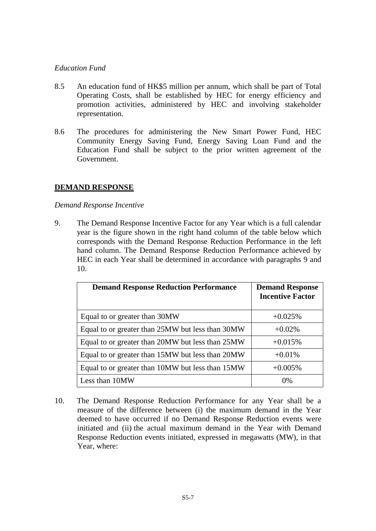## *Education Fund*

- 8.5 An education fund of HK\$5 million per annum, which shall be part of Total Operating Costs, shall be established by HEC for energy efficiency and promotion activities, administered by HEC and involving stakeholder representation.
- 8.6 The procedures for administering the New Smart Power Fund, HEC Community Energy Saving Fund, Energy Saving Loan Fund and the Education Fund shall be subject to the prior written agreement of the Government.

## **DEMAND RESPONSE**

## *Demand Response Incentive*

9. The Demand Response Incentive Factor for any Year which is a full calendar year is the figure shown in the right hand column of the table below which corresponds with the Demand Response Reduction Performance in the left hand column. The Demand Response Reduction Performance achieved by HEC in each Year shall be determined in accordance with paragraphs 9 and 10.

| <b>Demand Response Reduction Performance</b>     | <b>Demand Response</b><br><b>Incentive Factor</b> |
|--------------------------------------------------|---------------------------------------------------|
| Equal to or greater than 30MW                    | $+0.025%$                                         |
| Equal to or greater than 25MW but less than 30MW | $+0.02\%$                                         |
| Equal to or greater than 20MW but less than 25MW | $+0.015%$                                         |
| Equal to or greater than 15MW but less than 20MW | $+0.01%$                                          |
| Equal to or greater than 10MW but less than 15MW | $+0.005%$                                         |
| Less than 10MW                                   | $0\%$                                             |

10. The Demand Response Reduction Performance for any Year shall be a measure of the difference between (i) the maximum demand in the Year deemed to have occurred if no Demand Response Reduction events were initiated and (ii) the actual maximum demand in the Year with Demand Response Reduction events initiated, expressed in megawatts (MW), in that Year, where: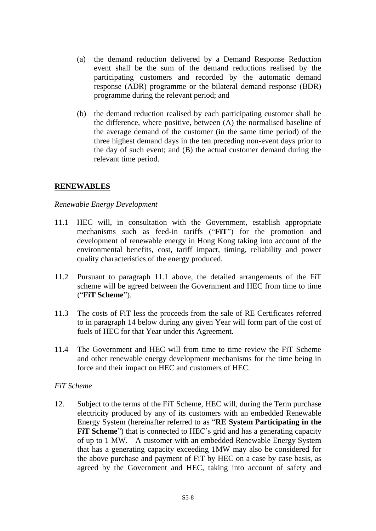- (a) the demand reduction delivered by a Demand Response Reduction event shall be the sum of the demand reductions realised by the participating customers and recorded by the automatic demand response (ADR) programme or the bilateral demand response (BDR) programme during the relevant period; and
- (b) the demand reduction realised by each participating customer shall be the difference, where positive, between (A) the normalised baseline of the average demand of the customer (in the same time period) of the three highest demand days in the ten preceding non-event days prior to the day of such event; and (B) the actual customer demand during the relevant time period.

## **RENEWABLES**

## *Renewable Energy Development*

- 11.1 HEC will, in consultation with the Government, establish appropriate mechanisms such as feed-in tariffs ("**FiT**") for the promotion and development of renewable energy in Hong Kong taking into account of the environmental benefits, cost, tariff impact, timing, reliability and power quality characteristics of the energy produced.
- 11.2 Pursuant to paragraph 11.1 above, the detailed arrangements of the FiT scheme will be agreed between the Government and HEC from time to time ("**FiT Scheme**").
- 11.3 The costs of FiT less the proceeds from the sale of RE Certificates referred to in paragraph 14 below during any given Year will form part of the cost of fuels of HEC for that Year under this Agreement.
- 11.4 The Government and HEC will from time to time review the FiT Scheme and other renewable energy development mechanisms for the time being in force and their impact on HEC and customers of HEC.

## *FiT Scheme*

12. Subject to the terms of the FiT Scheme, HEC will, during the Term purchase electricity produced by any of its customers with an embedded Renewable Energy System (hereinafter referred to as "**RE System Participating in the FIT Scheme**") that is connected to HEC's grid and has a generating capacity of up to 1 MW. A customer with an embedded Renewable Energy System that has a generating capacity exceeding 1MW may also be considered for the above purchase and payment of FiT by HEC on a case by case basis, as agreed by the Government and HEC, taking into account of safety and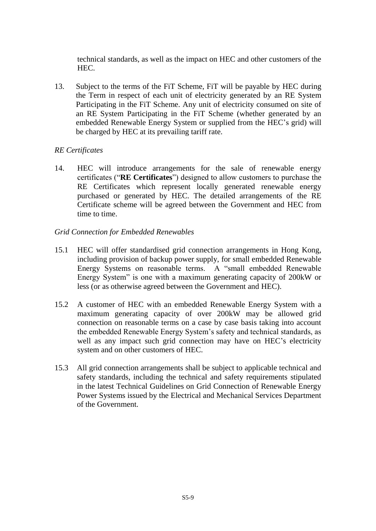technical standards, as well as the impact on HEC and other customers of the HEC.

13. Subject to the terms of the FiT Scheme, FiT will be payable by HEC during the Term in respect of each unit of electricity generated by an RE System Participating in the FiT Scheme. Any unit of electricity consumed on site of an RE System Participating in the FiT Scheme (whether generated by an embedded Renewable Energy System or supplied from the HEC's grid) will be charged by HEC at its prevailing tariff rate.

## *RE Certificates*

14. HEC will introduce arrangements for the sale of renewable energy certificates ("**RE Certificates**") designed to allow customers to purchase the RE Certificates which represent locally generated renewable energy purchased or generated by HEC. The detailed arrangements of the RE Certificate scheme will be agreed between the Government and HEC from time to time.

## *Grid Connection for Embedded Renewables*

- 15.1 HEC will offer standardised grid connection arrangements in Hong Kong, including provision of backup power supply, for small embedded Renewable Energy Systems on reasonable terms. A "small embedded Renewable Energy System" is one with a maximum generating capacity of 200kW or less (or as otherwise agreed between the Government and HEC).
- 15.2 A customer of HEC with an embedded Renewable Energy System with a maximum generating capacity of over 200kW may be allowed grid connection on reasonable terms on a case by case basis taking into account the embedded Renewable Energy System's safety and technical standards, as well as any impact such grid connection may have on HEC's electricity system and on other customers of HEC.
- 15.3 All grid connection arrangements shall be subject to applicable technical and safety standards, including the technical and safety requirements stipulated in the latest Technical Guidelines on Grid Connection of Renewable Energy Power Systems issued by the Electrical and Mechanical Services Department of the Government.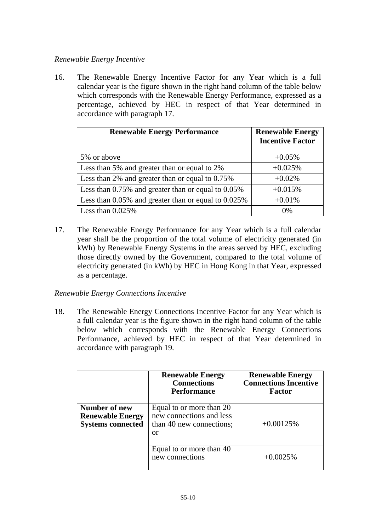# *Renewable Energy Incentive*

16. The Renewable Energy Incentive Factor for any Year which is a full calendar year is the figure shown in the right hand column of the table below which corresponds with the Renewable Energy Performance, expressed as a percentage, achieved by HEC in respect of that Year determined in accordance with paragraph 17.

| <b>Renewable Energy Performance</b>                       | <b>Renewable Energy</b><br><b>Incentive Factor</b> |
|-----------------------------------------------------------|----------------------------------------------------|
| 5% or above                                               | $+0.05%$                                           |
| Less than 5% and greater than or equal to 2%              | $+0.025%$                                          |
| Less than 2% and greater than or equal to 0.75%           | $+0.02%$                                           |
| Less than $0.75\%$ and greater than or equal to $0.05\%$  | $+0.015%$                                          |
| Less than $0.05\%$ and greater than or equal to $0.025\%$ | $+0.01%$                                           |
| Less than $0.025\%$                                       | $0\%$                                              |

17. The Renewable Energy Performance for any Year which is a full calendar year shall be the proportion of the total volume of electricity generated (in kWh) by Renewable Energy Systems in the areas served by HEC, excluding those directly owned by the Government, compared to the total volume of electricity generated (in kWh) by HEC in Hong Kong in that Year, expressed as a percentage.

## *Renewable Energy Connections Incentive*

18. The Renewable Energy Connections Incentive Factor for any Year which is a full calendar year is the figure shown in the right hand column of the table below which corresponds with the Renewable Energy Connections Performance, achieved by HEC in respect of that Year determined in accordance with paragraph 19.

|                                                                      | <b>Renewable Energy</b><br><b>Connections</b><br><b>Performance</b>                    | <b>Renewable Energy</b><br><b>Connections Incentive</b><br><b>Factor</b> |
|----------------------------------------------------------------------|----------------------------------------------------------------------------------------|--------------------------------------------------------------------------|
| Number of new<br><b>Renewable Energy</b><br><b>Systems connected</b> | Equal to or more than 20<br>new connections and less<br>than 40 new connections;<br>or | $+0.00125%$                                                              |
|                                                                      | Equal to or more than 40<br>new connections                                            | $+0.0025%$                                                               |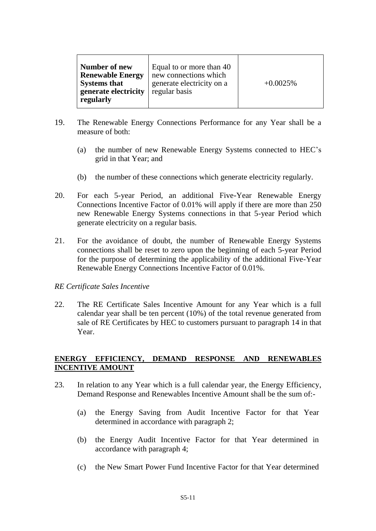| Number of new<br><b>Renewable Energy</b><br><b>Systems that</b><br>generate electricity<br>regularly | Equal to or more than 40<br>new connections which<br>generate electricity on a<br>regular basis | $+0.0025%$ |
|------------------------------------------------------------------------------------------------------|-------------------------------------------------------------------------------------------------|------------|
|------------------------------------------------------------------------------------------------------|-------------------------------------------------------------------------------------------------|------------|

- 19. The Renewable Energy Connections Performance for any Year shall be a measure of both:
	- (a) the number of new Renewable Energy Systems connected to HEC's grid in that Year; and
	- (b) the number of these connections which generate electricity regularly.
- 20. For each 5-year Period, an additional Five-Year Renewable Energy Connections Incentive Factor of 0.01% will apply if there are more than 250 new Renewable Energy Systems connections in that 5-year Period which generate electricity on a regular basis.
- 21. For the avoidance of doubt, the number of Renewable Energy Systems connections shall be reset to zero upon the beginning of each 5-year Period for the purpose of determining the applicability of the additional Five-Year Renewable Energy Connections Incentive Factor of 0.01%.

## *RE Certificate Sales Incentive*

22. The RE Certificate Sales Incentive Amount for any Year which is a full calendar year shall be ten percent (10%) of the total revenue generated from sale of RE Certificates by HEC to customers pursuant to paragraph 14 in that Year.

## **ENERGY EFFICIENCY, DEMAND RESPONSE AND RENEWABLES INCENTIVE AMOUNT**

- 23. In relation to any Year which is a full calendar year, the Energy Efficiency, Demand Response and Renewables Incentive Amount shall be the sum of:-
	- (a) the Energy Saving from Audit Incentive Factor for that Year determined in accordance with paragraph 2;
	- (b) the Energy Audit Incentive Factor for that Year determined in accordance with paragraph 4;
	- (c) the New Smart Power Fund Incentive Factor for that Year determined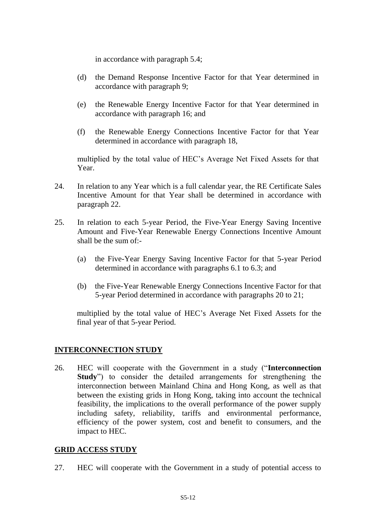in accordance with paragraph 5.4;

- (d) the Demand Response Incentive Factor for that Year determined in accordance with paragraph 9;
- (e) the Renewable Energy Incentive Factor for that Year determined in accordance with paragraph 16; and
- (f) the Renewable Energy Connections Incentive Factor for that Year determined in accordance with paragraph 18,

multiplied by the total value of HEC's Average Net Fixed Assets for that Year.

- 24. In relation to any Year which is a full calendar year, the RE Certificate Sales Incentive Amount for that Year shall be determined in accordance with paragraph 22.
- 25. In relation to each 5-year Period, the Five-Year Energy Saving Incentive Amount and Five-Year Renewable Energy Connections Incentive Amount shall be the sum of:-
	- (a) the Five-Year Energy Saving Incentive Factor for that 5-year Period determined in accordance with paragraphs 6.1 to 6.3; and
	- (b) the Five-Year Renewable Energy Connections Incentive Factor for that 5-year Period determined in accordance with paragraphs 20 to 21;

multiplied by the total value of HEC's Average Net Fixed Assets for the final year of that 5-year Period.

## **INTERCONNECTION STUDY**

26. HEC will cooperate with the Government in a study ("**Interconnection Study**") to consider the detailed arrangements for strengthening the interconnection between Mainland China and Hong Kong, as well as that between the existing grids in Hong Kong, taking into account the technical feasibility, the implications to the overall performance of the power supply including safety, reliability, tariffs and environmental performance, efficiency of the power system, cost and benefit to consumers, and the impact to HEC.

## **GRID ACCESS STUDY**

27. HEC will cooperate with the Government in a study of potential access to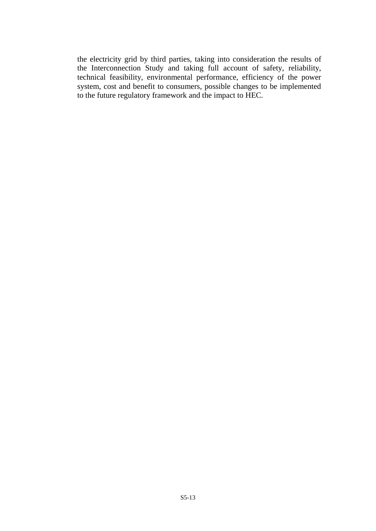the electricity grid by third parties, taking into consideration the results of the Interconnection Study and taking full account of safety, reliability, technical feasibility, environmental performance, efficiency of the power system, cost and benefit to consumers, possible changes to be implemented to the future regulatory framework and the impact to HEC.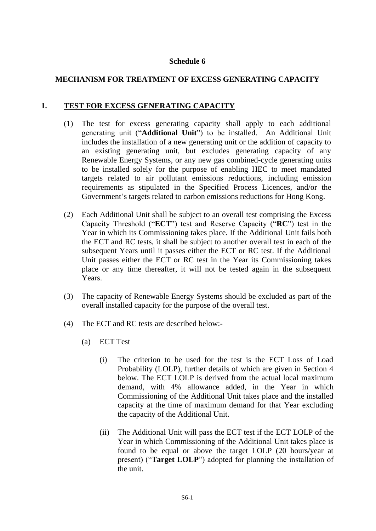## **Schedule 6**

# **MECHANISM FOR TREATMENT OF EXCESS GENERATING CAPACITY**

# **1. TEST FOR EXCESS GENERATING CAPACITY**

- (1) The test for excess generating capacity shall apply to each additional generating unit ("**Additional Unit**") to be installed. An Additional Unit includes the installation of a new generating unit or the addition of capacity to an existing generating unit, but excludes generating capacity of any Renewable Energy Systems, or any new gas combined-cycle generating units to be installed solely for the purpose of enabling HEC to meet mandated targets related to air pollutant emissions reductions, including emission requirements as stipulated in the Specified Process Licences, and/or the Government's targets related to carbon emissions reductions for Hong Kong.
- (2) Each Additional Unit shall be subject to an overall test comprising the Excess Capacity Threshold ("**ECT**") test and Reserve Capacity ("**RC**") test in the Year in which its Commissioning takes place. If the Additional Unit fails both the ECT and RC tests, it shall be subject to another overall test in each of the subsequent Years until it passes either the ECT or RC test. If the Additional Unit passes either the ECT or RC test in the Year its Commissioning takes place or any time thereafter, it will not be tested again in the subsequent Years.
- (3) The capacity of Renewable Energy Systems should be excluded as part of the overall installed capacity for the purpose of the overall test.
- (4) The ECT and RC tests are described below:-
	- (a) ECT Test
		- (i) The criterion to be used for the test is the ECT Loss of Load Probability (LOLP), further details of which are given in Section 4 below. The ECT LOLP is derived from the actual local maximum demand, with 4% allowance added, in the Year in which Commissioning of the Additional Unit takes place and the installed capacity at the time of maximum demand for that Year excluding the capacity of the Additional Unit.
		- (ii) The Additional Unit will pass the ECT test if the ECT LOLP of the Year in which Commissioning of the Additional Unit takes place is found to be equal or above the target LOLP (20 hours/year at present) ("**Target LOLP**") adopted for planning the installation of the unit.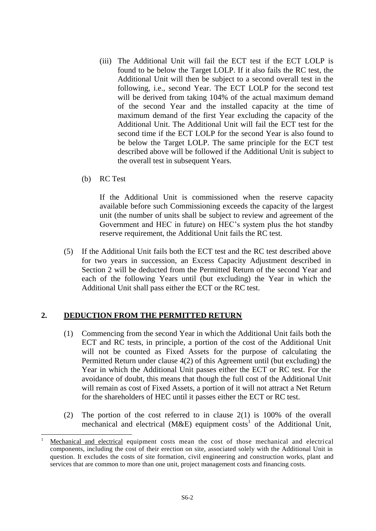- (iii) The Additional Unit will fail the ECT test if the ECT LOLP is found to be below the Target LOLP. If it also fails the RC test, the Additional Unit will then be subject to a second overall test in the following, i.e., second Year. The ECT LOLP for the second test will be derived from taking 104% of the actual maximum demand of the second Year and the installed capacity at the time of maximum demand of the first Year excluding the capacity of the Additional Unit. The Additional Unit will fail the ECT test for the second time if the ECT LOLP for the second Year is also found to be below the Target LOLP. The same principle for the ECT test described above will be followed if the Additional Unit is subject to the overall test in subsequent Years.
- (b) RC Test

-

If the Additional Unit is commissioned when the reserve capacity available before such Commissioning exceeds the capacity of the largest unit (the number of units shall be subject to review and agreement of the Government and HEC in future) on HEC's system plus the hot standby reserve requirement, the Additional Unit fails the RC test.

(5) If the Additional Unit fails both the ECT test and the RC test described above for two years in succession, an Excess Capacity Adjustment described in Section 2 will be deducted from the Permitted Return of the second Year and each of the following Years until (but excluding) the Year in which the Additional Unit shall pass either the ECT or the RC test.

# **2. DEDUCTION FROM THE PERMITTED RETURN**

- (1) Commencing from the second Year in which the Additional Unit fails both the ECT and RC tests, in principle, a portion of the cost of the Additional Unit will not be counted as Fixed Assets for the purpose of calculating the Permitted Return under clause 4(2) of this Agreement until (but excluding) the Year in which the Additional Unit passes either the ECT or RC test. For the avoidance of doubt, this means that though the full cost of the Additional Unit will remain as cost of Fixed Assets, a portion of it will not attract a Net Return for the shareholders of HEC until it passes either the ECT or RC test.
- (2) The portion of the cost referred to in clause 2(1) is 100% of the overall mechanical and electrical (M&E) equipment costs<sup>1</sup> of the Additional Unit,

<sup>1</sup> Mechanical and electrical equipment costs mean the cost of those mechanical and electrical components, including the cost of their erection on site, associated solely with the Additional Unit in question. It excludes the costs of site formation, civil engineering and construction works, plant and services that are common to more than one unit, project management costs and financing costs.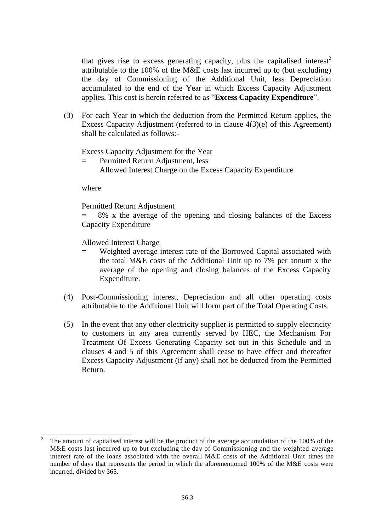that gives rise to excess generating capacity, plus the capitalised interest<sup>2</sup> attributable to the 100% of the M&E costs last incurred up to (but excluding) the day of Commissioning of the Additional Unit, less Depreciation accumulated to the end of the Year in which Excess Capacity Adjustment applies. This cost is herein referred to as "**Excess Capacity Expenditure**".

(3) For each Year in which the deduction from the Permitted Return applies, the Excess Capacity Adjustment (referred to in clause 4(3)(e) of this Agreement) shall be calculated as follows:-

Excess Capacity Adjustment for the Year

= Permitted Return Adjustment, less Allowed Interest Charge on the Excess Capacity Expenditure

where

-

Permitted Return Adjustment

= 8% x the average of the opening and closing balances of the Excess Capacity Expenditure

Allowed Interest Charge

- Weighted average interest rate of the Borrowed Capital associated with the total M&E costs of the Additional Unit up to 7% per annum x the average of the opening and closing balances of the Excess Capacity Expenditure.
- (4) Post-Commissioning interest, Depreciation and all other operating costs attributable to the Additional Unit will form part of the Total Operating Costs.
- (5) In the event that any other electricity supplier is permitted to supply electricity to customers in any area currently served by HEC, the Mechanism For Treatment Of Excess Generating Capacity set out in this Schedule and in clauses 4 and 5 of this Agreement shall cease to have effect and thereafter Excess Capacity Adjustment (if any) shall not be deducted from the Permitted Return.

<sup>2</sup> The amount of capitalised interest will be the product of the average accumulation of the 100% of the M&E costs last incurred up to but excluding the day of Commissioning and the weighted average interest rate of the loans associated with the overall M&E costs of the Additional Unit times the number of days that represents the period in which the aforementioned 100% of the M&E costs were incurred, divided by 365.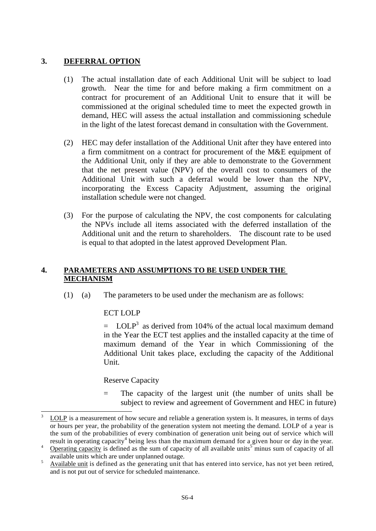# **3. DEFERRAL OPTION**

- (1) The actual installation date of each Additional Unit will be subject to load growth. Near the time for and before making a firm commitment on a contract for procurement of an Additional Unit to ensure that it will be commissioned at the original scheduled time to meet the expected growth in demand, HEC will assess the actual installation and commissioning schedule in the light of the latest forecast demand in consultation with the Government.
- (2) HEC may defer installation of the Additional Unit after they have entered into a firm commitment on a contract for procurement of the M&E equipment of the Additional Unit, only if they are able to demonstrate to the Government that the net present value (NPV) of the overall cost to consumers of the Additional Unit with such a deferral would be lower than the NPV, incorporating the Excess Capacity Adjustment, assuming the original installation schedule were not changed.
- (3) For the purpose of calculating the NPV, the cost components for calculating the NPVs include all items associated with the deferred installation of the Additional unit and the return to shareholders. The discount rate to be used is equal to that adopted in the latest approved Development Plan.

#### **4. PARAMETERS AND ASSUMPTIONS TO BE USED UNDER THE MECHANISM**

(1) (a) The parameters to be used under the mechanism are as follows:

## ECT LOLP

 $=$  LOLP<sup>3</sup> as derived from 104% of the actual local maximum demand in the Year the ECT test applies and the installed capacity at the time of maximum demand of the Year in which Commissioning of the Additional Unit takes place, excluding the capacity of the Additional Unit.

#### Reserve Capacity

= The capacity of the largest unit (the number of units shall be subject to review and agreement of Government and HEC in future)

 $\mathfrak{Z}$ LOLP is a measurement of how secure and reliable a generation system is. It measures, in terms of days or hours per year, the probability of the generation system not meeting the demand. LOLP of a year is the sum of the probabilities of every combination of generation unit being out of service which will result in operating capacity<sup>4</sup> being less than the maximum demand for a given hour or day in the year.

<sup>&</sup>lt;sup>4</sup> Operating capacity is defined as the sum of capacity of all available units<sup>5</sup> minus sum of capacity of all available units which are under unplanned outage.

<sup>&</sup>lt;sup>5</sup> Available unit is defined as the generating unit that has entered into service, has not yet been retired, and is not put out of service for scheduled maintenance.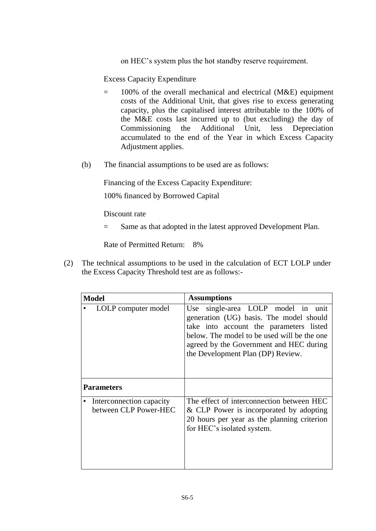on HEC's system plus the hot standby reserve requirement.

Excess Capacity Expenditure

- = 100% of the overall mechanical and electrical (M&E) equipment costs of the Additional Unit, that gives rise to excess generating capacity, plus the capitalised interest attributable to the 100% of the M&E costs last incurred up to (but excluding) the day of Commissioning the Additional Unit, less Depreciation accumulated to the end of the Year in which Excess Capacity Adjustment applies.
- (b) The financial assumptions to be used are as follows:

Financing of the Excess Capacity Expenditure:

100% financed by Borrowed Capital

Discount rate

= Same as that adopted in the latest approved Development Plan.

Rate of Permitted Return: 8%

(2) The technical assumptions to be used in the calculation of ECT LOLP under the Excess Capacity Threshold test are as follows:-

| <b>Model</b>                                      | <b>Assumptions</b>                                                                                                                                                                                                                                      |  |
|---------------------------------------------------|---------------------------------------------------------------------------------------------------------------------------------------------------------------------------------------------------------------------------------------------------------|--|
| LOLP computer model                               | Use single-area LOLP model in unit<br>generation (UG) basis. The model should<br>take into account the parameters listed<br>below. The model to be used will be the one<br>agreed by the Government and HEC during<br>the Development Plan (DP) Review. |  |
| <b>Parameters</b>                                 |                                                                                                                                                                                                                                                         |  |
| Interconnection capacity<br>between CLP Power-HEC | The effect of interconnection between HEC<br>& CLP Power is incorporated by adopting<br>20 hours per year as the planning criterion<br>for HEC's isolated system.                                                                                       |  |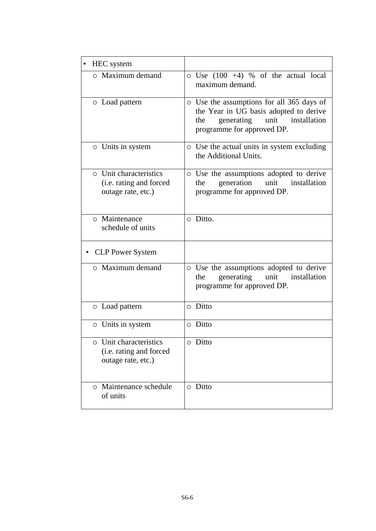| <b>HEC</b> system                                                              |                                                                                                                                                                |
|--------------------------------------------------------------------------------|----------------------------------------------------------------------------------------------------------------------------------------------------------------|
| $\circ$ Maximum demand                                                         | $\circ$ Use (100 +4) % of the actual local<br>maximum demand.                                                                                                  |
| o Load pattern                                                                 | o Use the assumptions for all 365 days of<br>the Year in UG basis adopted to derive<br>generating<br>unit<br>installation<br>the<br>programme for approved DP. |
| o Units in system                                                              | o Use the actual units in system excluding<br>the Additional Units.                                                                                            |
| <b>Q</b> Unit characteristics<br>(i.e. rating and forced<br>outage rate, etc.) | o Use the assumptions adopted to derive<br>generation unit<br>installation<br>the<br>programme for approved DP.                                                |
| o Maintenance<br>schedule of units                                             | o Ditto.                                                                                                                                                       |
| <b>CLP Power System</b>                                                        |                                                                                                                                                                |
| o Maximum demand                                                               | o Use the assumptions adopted to derive<br>generating<br>unit<br>installation<br>the<br>programme for approved DP.                                             |
| ○ Load pattern                                                                 | o Ditto                                                                                                                                                        |
| o Units in system                                                              | o Ditto                                                                                                                                                        |
| o Unit characteristics<br>(i.e. rating and forced<br>outage rate, etc.)        | o Ditto                                                                                                                                                        |
| o Maintenance schedule<br>of units                                             | o Ditto                                                                                                                                                        |